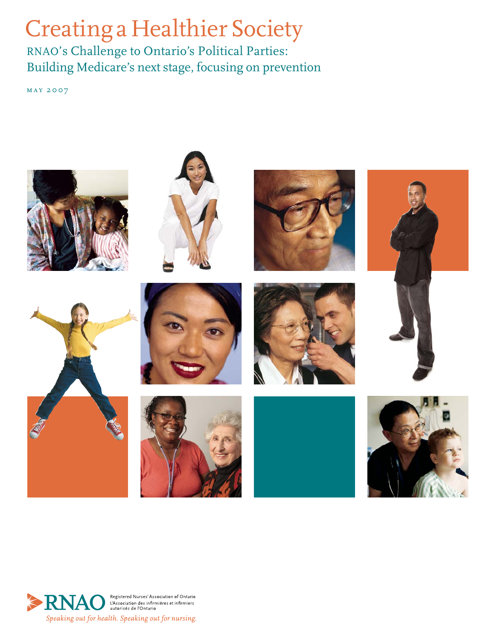# Creating a Healthier Society

RNAO's Challenge to Ontario's Political Parties: Building Medicare's next stage, focusing on prevention

may 2007



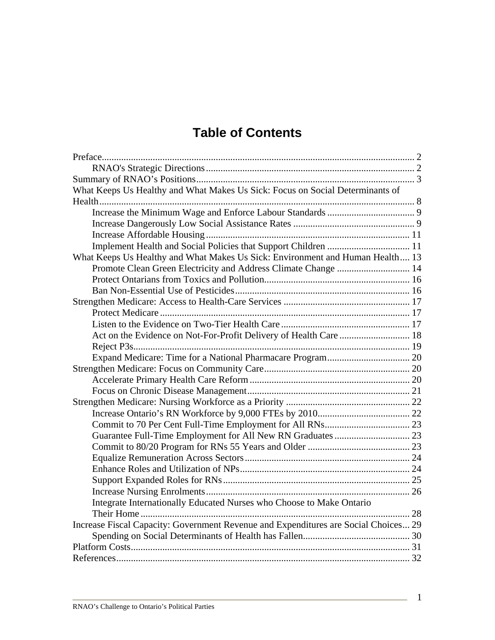# **Table of Contents**

| What Keeps Us Healthy and What Makes Us Sick: Focus on Social Determinants of       |  |
|-------------------------------------------------------------------------------------|--|
|                                                                                     |  |
|                                                                                     |  |
|                                                                                     |  |
|                                                                                     |  |
|                                                                                     |  |
| What Keeps Us Healthy and What Makes Us Sick: Environment and Human Health 13       |  |
| Promote Clean Green Electricity and Address Climate Change  14                      |  |
|                                                                                     |  |
|                                                                                     |  |
|                                                                                     |  |
|                                                                                     |  |
|                                                                                     |  |
|                                                                                     |  |
|                                                                                     |  |
|                                                                                     |  |
|                                                                                     |  |
|                                                                                     |  |
|                                                                                     |  |
|                                                                                     |  |
|                                                                                     |  |
|                                                                                     |  |
|                                                                                     |  |
|                                                                                     |  |
|                                                                                     |  |
|                                                                                     |  |
|                                                                                     |  |
|                                                                                     |  |
| Integrate Internationally Educated Nurses who Choose to Make Ontario                |  |
|                                                                                     |  |
| Increase Fiscal Capacity: Government Revenue and Expenditures are Social Choices 29 |  |
|                                                                                     |  |
|                                                                                     |  |
|                                                                                     |  |

1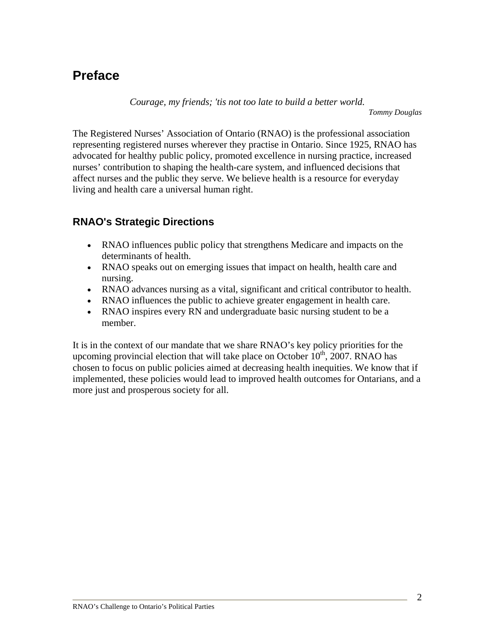# **Preface**

*Courage, my friends; 'tis not too late to build a better world.* 

*Tommy Douglas*

The Registered Nurses' Association of Ontario (RNAO) is the professional association representing registered nurses wherever they practise in Ontario. Since 1925, RNAO has advocated for healthy public policy, promoted excellence in nursing practice, increased nurses' contribution to shaping the health-care system, and influenced decisions that affect nurses and the public they serve. We believe health is a resource for everyday living and health care a universal human right.

## **RNAO's Strategic Directions**

- RNAO influences public policy that strengthens Medicare and impacts on the determinants of health.
- RNAO speaks out on emerging issues that impact on health, health care and nursing.
- RNAO advances nursing as a vital, significant and critical contributor to health.
- RNAO influences the public to achieve greater engagement in health care.
- RNAO inspires every RN and undergraduate basic nursing student to be a member.

It is in the context of our mandate that we share RNAO's key policy priorities for the upcoming provincial election that will take place on October  $10^{th}$ , 2007. RNAO has chosen to focus on public policies aimed at decreasing health inequities. We know that if implemented, these policies would lead to improved health outcomes for Ontarians, and a more just and prosperous society for all.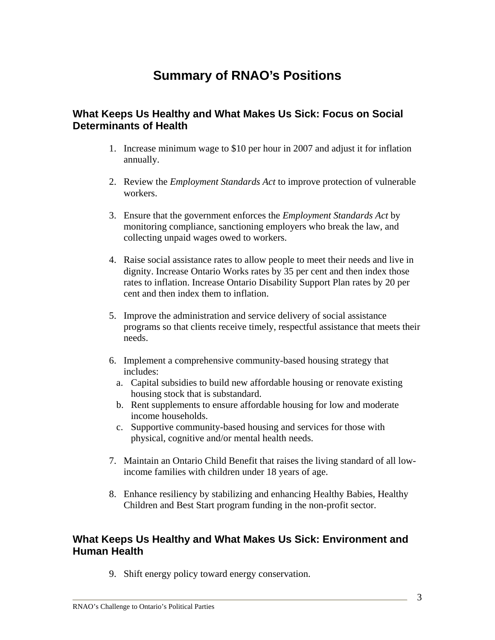# **Summary of RNAO's Positions**

#### **What Keeps Us Healthy and What Makes Us Sick: Focus on Social Determinants of Health**

- 1. Increase minimum wage to \$10 per hour in 2007 and adjust it for inflation annually.
- 2. Review the *Employment Standards Act* to improve protection of vulnerable workers.
- 3. Ensure that the government enforces the *Employment Standards Act* by monitoring compliance, sanctioning employers who break the law, and collecting unpaid wages owed to workers.
- 4. Raise social assistance rates to allow people to meet their needs and live in dignity. Increase Ontario Works rates by 35 per cent and then index those rates to inflation. Increase Ontario Disability Support Plan rates by 20 per cent and then index them to inflation.
- 5. Improve the administration and service delivery of social assistance programs so that clients receive timely, respectful assistance that meets their needs.
- 6. Implement a comprehensive community-based housing strategy that includes:
	- a. Capital subsidies to build new affordable housing or renovate existing housing stock that is substandard.
	- b. Rent supplements to ensure affordable housing for low and moderate income households.
	- c. Supportive community-based housing and services for those with physical, cognitive and/or mental health needs.
- 7. Maintain an Ontario Child Benefit that raises the living standard of all lowincome families with children under 18 years of age.
- 8. Enhance resiliency by stabilizing and enhancing Healthy Babies, Healthy Children and Best Start program funding in the non-profit sector.

#### **What Keeps Us Healthy and What Makes Us Sick: Environment and Human Health**

9. Shift energy policy toward energy conservation.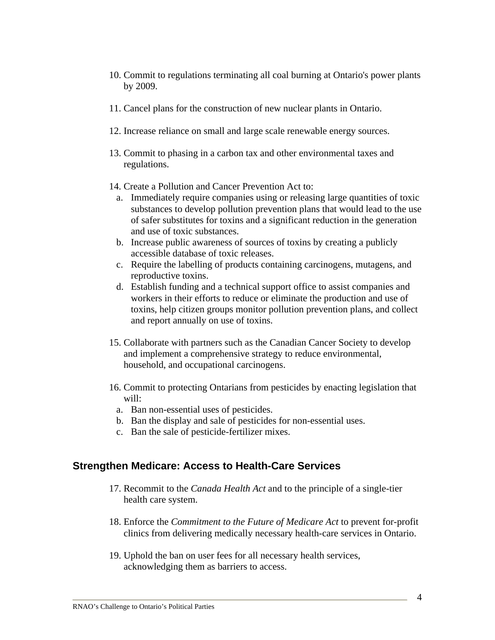- 10. Commit to regulations terminating all coal burning at Ontario's power plants by 2009.
- 11. Cancel plans for the construction of new nuclear plants in Ontario.
- 12. Increase reliance on small and large scale renewable energy sources.
- 13. Commit to phasing in a carbon tax and other environmental taxes and regulations.
- 14. Create a Pollution and Cancer Prevention Act to:
	- a. Immediately require companies using or releasing large quantities of toxic substances to develop pollution prevention plans that would lead to the use of safer substitutes for toxins and a significant reduction in the generation and use of toxic substances.
	- b. Increase public awareness of sources of toxins by creating a publicly accessible database of toxic releases.
	- c. Require the labelling of products containing carcinogens, mutagens, and reproductive toxins.
	- d. Establish funding and a technical support office to assist companies and workers in their efforts to reduce or eliminate the production and use of toxins, help citizen groups monitor pollution prevention plans, and collect and report annually on use of toxins.
- 15. Collaborate with partners such as the Canadian Cancer Society to develop and implement a comprehensive strategy to reduce environmental, household, and occupational carcinogens.
- 16. Commit to protecting Ontarians from pesticides by enacting legislation that will:
	- a. Ban non-essential uses of pesticides.
	- b. Ban the display and sale of pesticides for non-essential uses.
	- c. Ban the sale of pesticide-fertilizer mixes.

#### **Strengthen Medicare: Access to Health-Care Services**

- 17. Recommit to the *Canada Health Act* and to the principle of a single-tier health care system.
- 18. Enforce the *Commitment to the Future of Medicare Act* to prevent for-profit clinics from delivering medically necessary health-care services in Ontario.
- 19. Uphold the ban on user fees for all necessary health services, acknowledging them as barriers to access.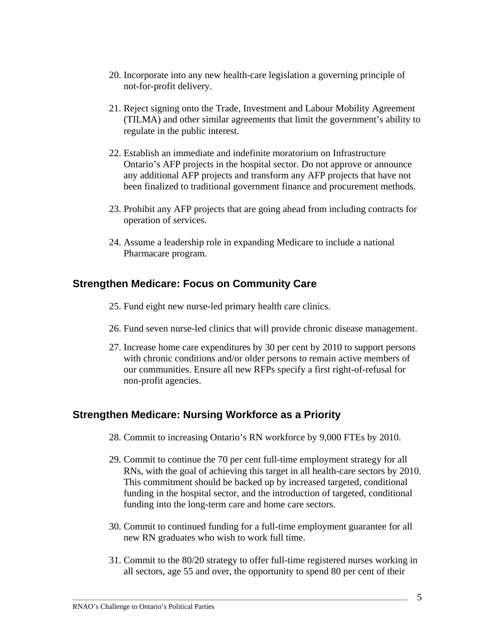- 20. Incorporate into any new health-care legislation a governing principle of not-for-profit delivery.
- 21. Reject signing onto the Trade, Investment and Labour Mobility Agreement (TILMA) and other similar agreements that limit the government's ability to regulate in the public interest.
- 22. Establish an immediate and indefinite moratorium on Infrastructure Ontario's AFP projects in the hospital sector. Do not approve or announce any additional AFP projects and transform any AFP projects that have not been finalized to traditional government finance and procurement methods.
- 23. Prohibit any AFP projects that are going ahead from including contracts for operation of services.
- 24. Assume a leadership role in expanding Medicare to include a national Pharmacare program.

## **Strengthen Medicare: Focus on Community Care**

- 25. Fund eight new nurse-led primary health care clinics.
- 26. Fund seven nurse-led clinics that will provide chronic disease management.
- 27. Increase home care expenditures by 30 per cent by 2010 to support persons with chronic conditions and/or older persons to remain active members of our communities. Ensure all new RFPs specify a first right-of-refusal for non-profit agencies.

## **Strengthen Medicare: Nursing Workforce as a Priority**

- 28. Commit to increasing Ontario's RN workforce by 9,000 FTEs by 2010.
- 29. Commit to continue the 70 per cent full-time employment strategy for all RNs, with the goal of achieving this target in all health-care sectors by 2010. This commitment should be backed up by increased targeted, conditional funding in the hospital sector, and the introduction of targeted, conditional funding into the long-term care and home care sectors.
- 30. Commit to continued funding for a full-time employment guarantee for all new RN graduates who wish to work full time.
- 31. Commit to the 80/20 strategy to offer full-time registered nurses working in all sectors, age 55 and over, the opportunity to spend 80 per cent of their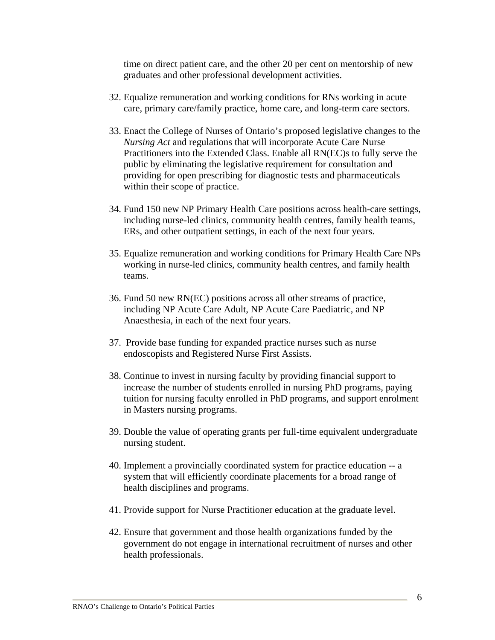time on direct patient care, and the other 20 per cent on mentorship of new graduates and other professional development activities.

- 32. Equalize remuneration and working conditions for RNs working in acute care, primary care/family practice, home care, and long-term care sectors.
- 33. Enact the College of Nurses of Ontario's proposed legislative changes to the *Nursing Act* and regulations that will incorporate Acute Care Nurse Practitioners into the Extended Class. Enable all RN(EC)s to fully serve the public by eliminating the legislative requirement for consultation and providing for open prescribing for diagnostic tests and pharmaceuticals within their scope of practice.
- 34. Fund 150 new NP Primary Health Care positions across health-care settings, including nurse-led clinics, community health centres, family health teams, ERs, and other outpatient settings, in each of the next four years.
- 35. Equalize remuneration and working conditions for Primary Health Care NPs working in nurse-led clinics, community health centres, and family health teams.
- 36. Fund 50 new RN(EC) positions across all other streams of practice, including NP Acute Care Adult, NP Acute Care Paediatric, and NP Anaesthesia, in each of the next four years.
- 37. Provide base funding for expanded practice nurses such as nurse endoscopists and Registered Nurse First Assists.
- 38. Continue to invest in nursing faculty by providing financial support to increase the number of students enrolled in nursing PhD programs, paying tuition for nursing faculty enrolled in PhD programs, and support enrolment in Masters nursing programs.
- 39. Double the value of operating grants per full-time equivalent undergraduate nursing student.
- 40. Implement a provincially coordinated system for practice education -- a system that will efficiently coordinate placements for a broad range of health disciplines and programs.
- 41. Provide support for Nurse Practitioner education at the graduate level.
- 42. Ensure that government and those health organizations funded by the government do not engage in international recruitment of nurses and other health professionals.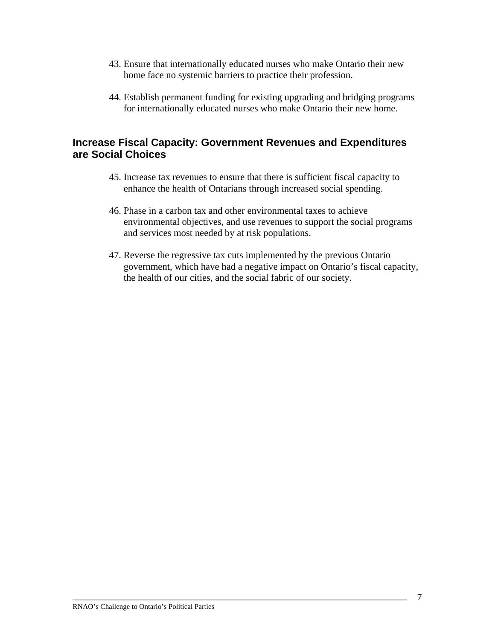- 43. Ensure that internationally educated nurses who make Ontario their new home face no systemic barriers to practice their profession.
- 44. Establish permanent funding for existing upgrading and bridging programs for internationally educated nurses who make Ontario their new home.

#### **Increase Fiscal Capacity: Government Revenues and Expenditures are Social Choices**

- 45. Increase tax revenues to ensure that there is sufficient fiscal capacity to enhance the health of Ontarians through increased social spending.
- 46. Phase in a carbon tax and other environmental taxes to achieve environmental objectives, and use revenues to support the social programs and services most needed by at risk populations.
- 47. Reverse the regressive tax cuts implemented by the previous Ontario government, which have had a negative impact on Ontario's fiscal capacity, the health of our cities, and the social fabric of our society.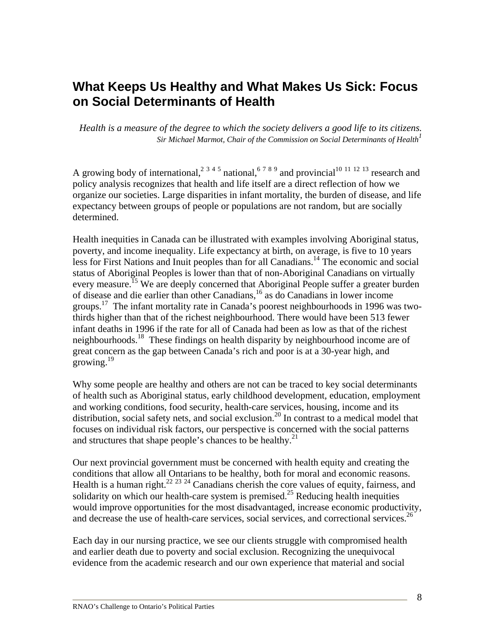# **What Keeps Us Healthy and What Makes Us Sick: Focus on Social Determinants of Health**

*Health is a measure of the degree to which the society delivers a good life to its citizens. Sir Michael Marmot, Chair of the Commission on Social Determinants of Health*<sup>1</sup>

A growing body of international,<sup>2 3 4 5</sup> national,<sup>6 7 8 9</sup> and provincial<sup>10 11 12 13</sup> research and policy analysis recognizes that health and life itself are a direct reflection of how we organize our societies. Large disparities in infant mortality, the burden of disease, and life expectancy between groups of people or populations are not random, but are socially determined.

Health inequities in Canada can be illustrated with examples involving Aboriginal status, poverty, and income inequality. Life expectancy at birth, on average, is five to 10 years less for First Nations and Inuit peoples than for all Canadians.<sup>14</sup> The economic and social status of Aboriginal Peoples is lower than that of non-Aboriginal Canadians on virtually every measure.<sup>15</sup> We are deeply concerned that Aboriginal People suffer a greater burden of disease and die earlier than other Canadians,16 as do Canadians in lower income groups.<sup>17</sup> The infant mortality rate in Canada's poorest neighbourhoods in 1996 was twothirds higher than that of the richest neighbourhood. There would have been 513 fewer infant deaths in 1996 if the rate for all of Canada had been as low as that of the richest neighbourhoods.<sup>18</sup> These findings on health disparity by neighbourhood income are of great concern as the gap between Canada's rich and poor is at a 30-year high, and growing. $^{19}$ 

Why some people are healthy and others are not can be traced to key social determinants of health such as Aboriginal status, early childhood development, education, employment and working conditions, food security, health-care services, housing, income and its distribution, social safety nets, and social exclusion.<sup>20</sup> In contrast to a medical model that focuses on individual risk factors, our perspective is concerned with the social patterns and structures that shape people's chances to be healthy.<sup>21</sup>

Our next provincial government must be concerned with health equity and creating the conditions that allow all Ontarians to be healthy, both for moral and economic reasons. Health is a human right.<sup>22 23 24</sup> Canadians cherish the core values of equity, fairness, and solidarity on which our health-care system is premised.<sup>25</sup> Reducing health inequities would improve opportunities for the most disadvantaged, increase economic productivity, and decrease the use of health-care services, social services, and correctional services.<sup>26</sup>

Each day in our nursing practice, we see our clients struggle with compromised health and earlier death due to poverty and social exclusion. Recognizing the unequivocal evidence from the academic research and our own experience that material and social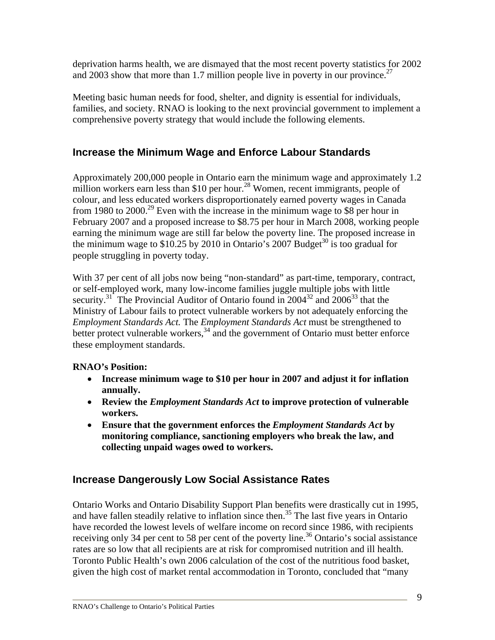deprivation harms health, we are dismayed that the most recent poverty statistics for 2002 and 2003 show that more than 1.7 million people live in poverty in our province.<sup>27</sup>

Meeting basic human needs for food, shelter, and dignity is essential for individuals, families, and society. RNAO is looking to the next provincial government to implement a comprehensive poverty strategy that would include the following elements.

## **Increase the Minimum Wage and Enforce Labour Standards**

Approximately 200,000 people in Ontario earn the minimum wage and approximately 1.2 million workers earn less than \$10 per hour.<sup>28</sup> Women, recent immigrants, people of colour, and less educated workers disproportionately earned poverty wages in Canada from 1980 to 2000.<sup>29</sup> Even with the increase in the minimum wage to \$8 per hour in February 2007 and a proposed increase to \$8.75 per hour in March 2008, working people earning the minimum wage are still far below the poverty line. The proposed increase in the minimum wage to \$10.25 by 2010 in Ontario's 2007 Budget<sup>30</sup> is too gradual for people struggling in poverty today.

With 37 per cent of all jobs now being "non-standard" as part-time, temporary, contract, or self-employed work, many low-income families juggle multiple jobs with little security.<sup>31</sup> The Provincial Auditor of Ontario found in  $2004^{32}$  and  $2006^{33}$  that the Ministry of Labour fails to protect vulnerable workers by not adequately enforcing the *Employment Standards Act.* The *Employment Standards Act* must be strengthened to better protect vulnerable workers,  $34 \text{ and the government of Ontario must better enforce}$ these employment standards.

## **RNAO's Position:**

- **Increase minimum wage to \$10 per hour in 2007 and adjust it for inflation annually.**
- **Review the** *Employment Standards Act* **to improve protection of vulnerable workers.**
- **Ensure that the government enforces the** *Employment Standards Act* **by monitoring compliance, sanctioning employers who break the law, and collecting unpaid wages owed to workers.**

## **Increase Dangerously Low Social Assistance Rates**

Ontario Works and Ontario Disability Support Plan benefits were drastically cut in 1995, and have fallen steadily relative to inflation since then.<sup>35</sup> The last five years in Ontario have recorded the lowest levels of welfare income on record since 1986, with recipients receiving only 34 per cent to 58 per cent of the poverty line.<sup>36</sup> Ontario's social assistance rates are so low that all recipients are at risk for compromised nutrition and ill health. Toronto Public Health's own 2006 calculation of the cost of the nutritious food basket, given the high cost of market rental accommodation in Toronto, concluded that "many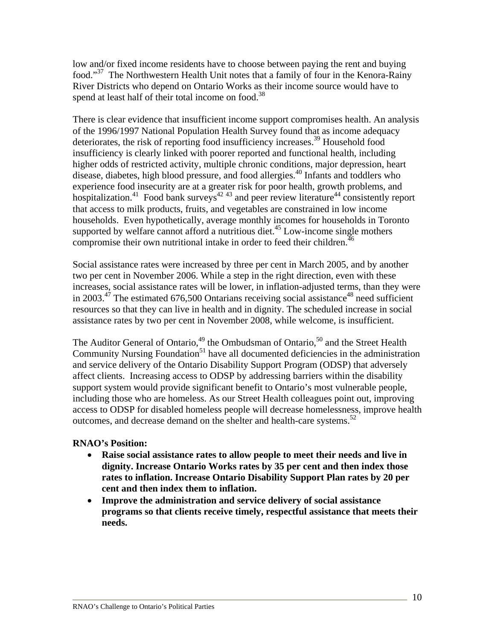low and/or fixed income residents have to choose between paying the rent and buying food."<sup>37</sup> The Northwestern Health Unit notes that a family of four in the Kenora-Rainy River Districts who depend on Ontario Works as their income source would have to spend at least half of their total income on food.<sup>38</sup>

There is clear evidence that insufficient income support compromises health. An analysis of the 1996/1997 National Population Health Survey found that as income adequacy deteriorates, the risk of reporting food insufficiency increases.<sup>39</sup> Household food insufficiency is clearly linked with poorer reported and functional health, including higher odds of restricted activity, multiple chronic conditions, major depression, heart disease, diabetes, high blood pressure, and food allergies.40 Infants and toddlers who experience food insecurity are at a greater risk for poor health, growth problems, and hospitalization.<sup>41</sup> Food bank surveys<sup>42,43</sup> and peer review literature<sup>44</sup> consistently report that access to milk products, fruits, and vegetables are constrained in low income households. Even hypothetically, average monthly incomes for households in Toronto supported by welfare cannot afford a nutritious diet.<sup>45</sup> Low-income single mothers compromise their own nutritional intake in order to feed their children.<sup>46</sup>

Social assistance rates were increased by three per cent in March 2005, and by another two per cent in November 2006. While a step in the right direction, even with these increases, social assistance rates will be lower, in inflation-adjusted terms, than they were in 2003.<sup>47</sup> The estimated 676,500 Ontarians receiving social assistance<sup>48</sup> need sufficient resources so that they can live in health and in dignity. The scheduled increase in social assistance rates by two per cent in November 2008, while welcome, is insufficient.

The Auditor General of Ontario,  $49$  the Ombudsman of Ontario,  $50$  and the Street Health Community Nursing Foundation $51$  have all documented deficiencies in the administration and service delivery of the Ontario Disability Support Program (ODSP) that adversely affect clients. Increasing access to ODSP by addressing barriers within the disability support system would provide significant benefit to Ontario's most vulnerable people, including those who are homeless. As our Street Health colleagues point out, improving access to ODSP for disabled homeless people will decrease homelessness, improve health outcomes, and decrease demand on the shelter and health-care systems. $52$ 

#### **RNAO's Position:**

- **Raise social assistance rates to allow people to meet their needs and live in dignity. Increase Ontario Works rates by 35 per cent and then index those rates to inflation. Increase Ontario Disability Support Plan rates by 20 per cent and then index them to inflation.**
- **Improve the administration and service delivery of social assistance programs so that clients receive timely, respectful assistance that meets their needs.**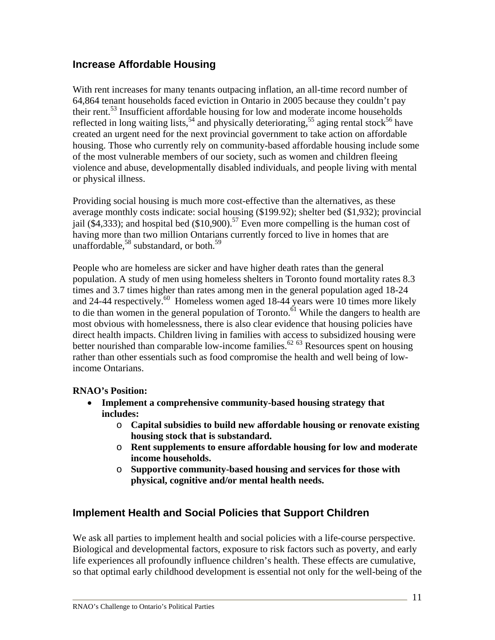## **Increase Affordable Housing**

With rent increases for many tenants outpacing inflation, an all-time record number of 64,864 tenant households faced eviction in Ontario in 2005 because they couldn't pay their rent.53 Insufficient affordable housing for low and moderate income households reflected in long waiting lists,<sup>54</sup> and physically deteriorating,<sup>55</sup> aging rental stock<sup>56</sup> have created an urgent need for the next provincial government to take action on affordable housing. Those who currently rely on community-based affordable housing include some of the most vulnerable members of our society, such as women and children fleeing violence and abuse, developmentally disabled individuals, and people living with mental or physical illness.

Providing social housing is much more cost-effective than the alternatives, as these average monthly costs indicate: social housing (\$199.92); shelter bed (\$1,932); provincial jail (\$4,333); and hospital bed (\$10,900).<sup>57</sup> Even more compelling is the human cost of having more than two million Ontarians currently forced to live in homes that are unaffordable,<sup>58</sup> substandard, or both.<sup>59</sup>

People who are homeless are sicker and have higher death rates than the general population. A study of men using homeless shelters in Toronto found mortality rates 8.3 times and 3.7 times higher than rates among men in the general population aged 18-24 and 24-44 respectively.<sup>60</sup> Homeless women aged 18-44 years were 10 times more likely to die than women in the general population of Toronto.<sup> $\delta$ 1</sup> While the dangers to health are most obvious with homelessness, there is also clear evidence that housing policies have direct health impacts. Children living in families with access to subsidized housing were better nourished than comparable low-income families.<sup>62 63</sup> Resources spent on housing rather than other essentials such as food compromise the health and well being of lowincome Ontarians.

#### **RNAO's Position:**

- **Implement a comprehensive community-based housing strategy that includes:** 
	- o **Capital subsidies to build new affordable housing or renovate existing housing stock that is substandard.**
	- o **Rent supplements to ensure affordable housing for low and moderate income households.**
	- o **Supportive community-based housing and services for those with physical, cognitive and/or mental health needs.**

## **Implement Health and Social Policies that Support Children**

We ask all parties to implement health and social policies with a life-course perspective. Biological and developmental factors, exposure to risk factors such as poverty, and early life experiences all profoundly influence children's health. These effects are cumulative, so that optimal early childhood development is essential not only for the well-being of the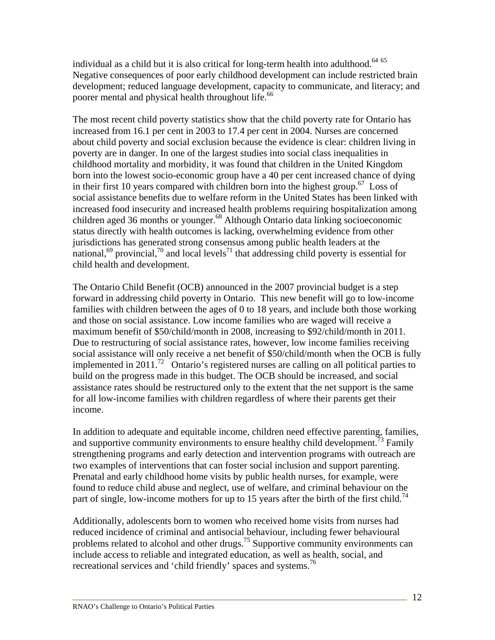individual as a child but it is also critical for long-term health into adulthood. $64\,65$ Negative consequences of poor early childhood development can include restricted brain development; reduced language development, capacity to communicate, and literacy; and poorer mental and physical health throughout life.<sup>66</sup>

The most recent child poverty statistics show that the child poverty rate for Ontario has increased from 16.1 per cent in 2003 to 17.4 per cent in 2004. Nurses are concerned about child poverty and social exclusion because the evidence is clear: children living in poverty are in danger. In one of the largest studies into social class inequalities in childhood mortality and morbidity, it was found that children in the United Kingdom born into the lowest socio-economic group have a 40 per cent increased chance of dying in their first 10 years compared with children born into the highest group.<sup>67</sup> Loss of social assistance benefits due to welfare reform in the United States has been linked with increased food insecurity and increased health problems requiring hospitalization among children aged 36 months or younger.<sup>68</sup> Although Ontario data linking socioeconomic status directly with health outcomes is lacking, overwhelming evidence from other jurisdictions has generated strong consensus among public health leaders at the national,<sup>69</sup> provincial,<sup>70</sup> and local levels<sup>71</sup> that addressing child poverty is essential for child health and development.

The Ontario Child Benefit (OCB) announced in the 2007 provincial budget is a step forward in addressing child poverty in Ontario. This new benefit will go to low-income families with children between the ages of 0 to 18 years, and include both those working and those on social assistance. Low income families who are waged will receive a maximum benefit of \$50/child/month in 2008, increasing to \$92/child/month in 2011. Due to restructuring of social assistance rates, however, low income families receiving social assistance will only receive a net benefit of \$50/child/month when the OCB is fully implemented in 2011.<sup>72</sup> Ontario's registered nurses are calling on all political parties to build on the progress made in this budget. The OCB should be increased, and social assistance rates should be restructured only to the extent that the net support is the same for all low-income families with children regardless of where their parents get their income.

In addition to adequate and equitable income, children need effective parenting, families, and supportive community environments to ensure healthy child development.<sup>73</sup> Family strengthening programs and early detection and intervention programs with outreach are two examples of interventions that can foster social inclusion and support parenting. Prenatal and early childhood home visits by public health nurses, for example, were found to reduce child abuse and neglect, use of welfare, and criminal behaviour on the part of single, low-income mothers for up to 15 years after the birth of the first child.<sup>74</sup>

Additionally, adolescents born to women who received home visits from nurses had reduced incidence of criminal and antisocial behaviour, including fewer behavioural problems related to alcohol and other drugs.<sup>75</sup> Supportive community environments can include access to reliable and integrated education, as well as health, social, and recreational services and 'child friendly' spaces and systems.<sup>76</sup>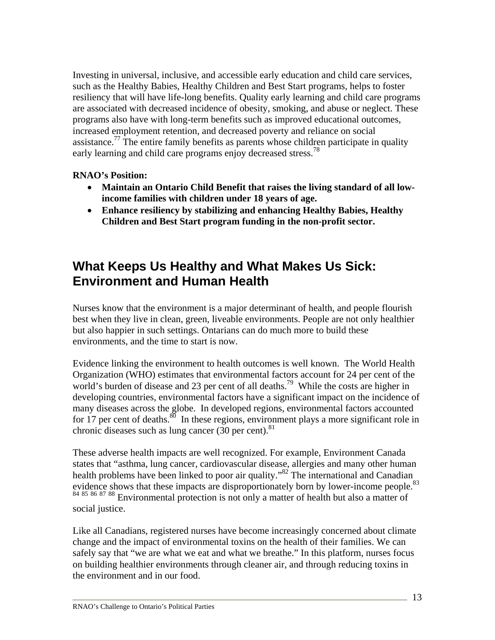Investing in universal, inclusive, and accessible early education and child care services, such as the Healthy Babies, Healthy Children and Best Start programs, helps to foster resiliency that will have life-long benefits. Quality early learning and child care programs are associated with decreased incidence of obesity, smoking, and abuse or neglect. These programs also have with long-term benefits such as improved educational outcomes, increased employment retention, and decreased poverty and reliance on social assistance.<sup>77</sup> The entire family benefits as parents whose children participate in quality early learning and child care programs enjoy decreased stress.<sup>78</sup>

#### **RNAO's Position:**

- **Maintain an Ontario Child Benefit that raises the living standard of all lowincome families with children under 18 years of age.**
- **Enhance resiliency by stabilizing and enhancing Healthy Babies, Healthy Children and Best Start program funding in the non-profit sector.**

# **What Keeps Us Healthy and What Makes Us Sick: Environment and Human Health**

Nurses know that the environment is a major determinant of health, and people flourish best when they live in clean, green, liveable environments. People are not only healthier but also happier in such settings. Ontarians can do much more to build these environments, and the time to start is now.

Evidence linking the environment to health outcomes is well known. The World Health Organization (WHO) estimates that environmental factors account for 24 per cent of the world's burden of disease and 23 per cent of all deaths.<sup>79</sup> While the costs are higher in developing countries, environmental factors have a significant impact on the incidence of many diseases across the globe. In developed regions, environmental factors accounted for 17 per cent of deaths.<sup>80</sup> In these regions, environment plays a more significant role in chronic diseases such as lung cancer (30 per cent). $81$ 

These adverse health impacts are well recognized. For example, Environment Canada states that "asthma, lung cancer, cardiovascular disease, allergies and many other human health problems have been linked to poor air quality."<sup>82</sup> The international and Canadian evidence shows that these impacts are disproportionately born by lower-income people.<sup>83</sup> <sup>84</sup> <sup>85</sup> <sup>86</sup> <sup>87</sup> 88 Environmental protection is not only a matter of health but also a matter of social justice.

Like all Canadians, registered nurses have become increasingly concerned about climate change and the impact of environmental toxins on the health of their families. We can safely say that "we are what we eat and what we breathe." In this platform, nurses focus on building healthier environments through cleaner air, and through reducing toxins in the environment and in our food.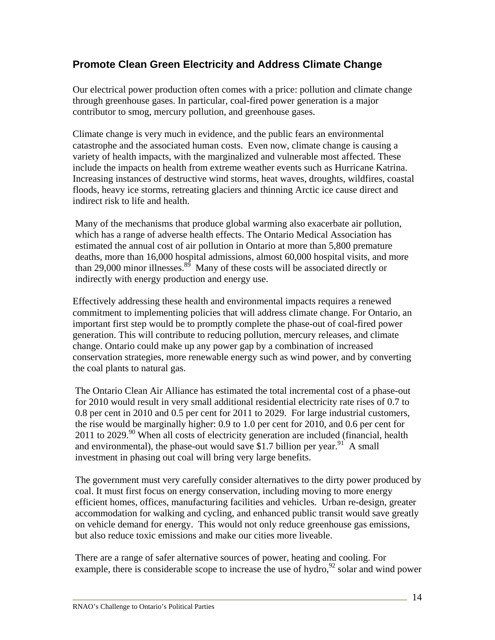## **Promote Clean Green Electricity and Address Climate Change**

Our electrical power production often comes with a price: pollution and climate change through greenhouse gases. In particular, coal-fired power generation is a major contributor to smog, mercury pollution, and greenhouse gases.

Climate change is very much in evidence, and the public fears an environmental catastrophe and the associated human costs. Even now, climate change is causing a variety of health impacts, with the marginalized and vulnerable most affected. These include the impacts on health from extreme weather events such as Hurricane Katrina. Increasing instances of destructive wind storms, heat waves, droughts, wildfires, coastal floods, heavy ice storms, retreating glaciers and thinning Arctic ice cause direct and indirect risk to life and health.

Many of the mechanisms that produce global warming also exacerbate air pollution, which has a range of adverse health effects. The Ontario Medical Association has estimated the annual cost of air pollution in Ontario at more than 5,800 premature deaths, more than 16,000 hospital admissions, almost 60,000 hospital visits, and more than 29,000 minor illnesses.<sup>89</sup> Many of these costs will be associated directly or indirectly with energy production and energy use.

Effectively addressing these health and environmental impacts requires a renewed commitment to implementing policies that will address climate change. For Ontario, an important first step would be to promptly complete the phase-out of coal-fired power generation. This will contribute to reducing pollution, mercury releases, and climate change. Ontario could make up any power gap by a combination of increased conservation strategies, more renewable energy such as wind power, and by converting the coal plants to natural gas.

The Ontario Clean Air Alliance has estimated the total incremental cost of a phase-out for 2010 would result in very small additional residential electricity rate rises of 0.7 to 0.8 per cent in 2010 and 0.5 per cent for 2011 to 2029. For large industrial customers, the rise would be marginally higher: 0.9 to 1.0 per cent for 2010, and 0.6 per cent for 2011 to 2029.<sup>90</sup> When all costs of electricity generation are included (financial, health and environmental), the phase-out would save \$1.7 billion per year.<sup>91</sup> A small investment in phasing out coal will bring very large benefits.

The government must very carefully consider alternatives to the dirty power produced by coal. It must first focus on energy conservation, including moving to more energy efficient homes, offices, manufacturing facilities and vehicles. Urban re-design, greater accommodation for walking and cycling, and enhanced public transit would save greatly on vehicle demand for energy. This would not only reduce greenhouse gas emissions, but also reduce toxic emissions and make our cities more liveable.

There are a range of safer alternative sources of power, heating and cooling. For example, there is considerable scope to increase the use of hydro,  $92$  solar and wind power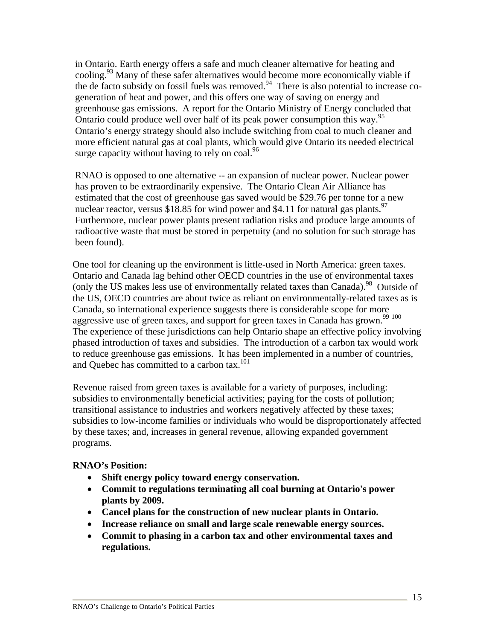in Ontario. Earth energy offers a safe and much cleaner alternative for heating and cooling.93 Many of these safer alternatives would become more economically viable if the de facto subsidy on fossil fuels was removed.<sup>94</sup> There is also potential to increase cogeneration of heat and power, and this offers one way of saving on energy and greenhouse gas emissions. A report for the Ontario Ministry of Energy concluded that Ontario could produce well over half of its peak power consumption this way.<sup>95</sup> Ontario's energy strategy should also include switching from coal to much cleaner and more efficient natural gas at coal plants, which would give Ontario its needed electrical surge capacity without having to rely on coal. $96$ 

RNAO is opposed to one alternative -- an expansion of nuclear power. Nuclear power has proven to be extraordinarily expensive. The Ontario Clean Air Alliance has estimated that the cost of greenhouse gas saved would be \$29.76 per tonne for a new nuclear reactor, versus \$18.85 for wind power and \$4.11 for natural gas plants.<sup>97</sup> Furthermore, nuclear power plants present radiation risks and produce large amounts of radioactive waste that must be stored in perpetuity (and no solution for such storage has been found).

One tool for cleaning up the environment is little-used in North America: green taxes. Ontario and Canada lag behind other OECD countries in the use of environmental taxes (only the US makes less use of environmentally related taxes than Canada).<sup>98</sup> Outside of the US, OECD countries are about twice as reliant on environmentally-related taxes as is Canada, so international experience suggests there is considerable scope for more aggressive use of green taxes, and support for green taxes in Canada has grown.<sup>99 100</sup> The experience of these jurisdictions can help Ontario shape an effective policy involving phased introduction of taxes and subsidies. The introduction of a carbon tax would work to reduce greenhouse gas emissions. It has been implemented in a number of countries, and Ouebec has committed to a carbon tax.<sup>101</sup>

Revenue raised from green taxes is available for a variety of purposes, including: subsidies to environmentally beneficial activities; paying for the costs of pollution; transitional assistance to industries and workers negatively affected by these taxes; subsidies to low-income families or individuals who would be disproportionately affected by these taxes; and, increases in general revenue, allowing expanded government programs.

#### **RNAO's Position:**

- **Shift energy policy toward energy conservation.**
- **Commit to regulations terminating all coal burning at Ontario's power plants by 2009.**
- **Cancel plans for the construction of new nuclear plants in Ontario.**
- **Increase reliance on small and large scale renewable energy sources.**
- **Commit to phasing in a carbon tax and other environmental taxes and regulations.**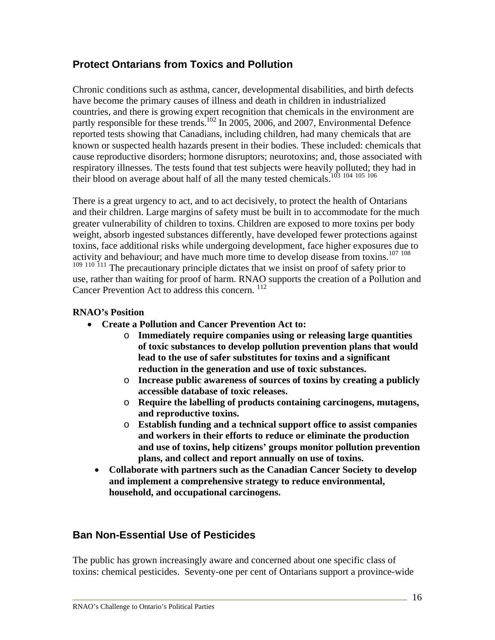## **Protect Ontarians from Toxics and Pollution**

Chronic conditions such as asthma, cancer, developmental disabilities, and birth defects have become the primary causes of illness and death in children in industrialized countries, and there is growing expert recognition that chemicals in the environment are partly responsible for these trends.<sup>102</sup> In 2005, 2006, and 2007, Environmental Defence reported tests showing that Canadians, including children, had many chemicals that are known or suspected health hazards present in their bodies. These included: chemicals that cause reproductive disorders; hormone disruptors; neurotoxins; and, those associated with respiratory illnesses. The tests found that test subjects were heavily polluted; they had in their blood on average about half of all the many tested chemicals.<sup>103</sup> <sup>104</sup> <sup>105</sup> <sup>106</sup>

There is a great urgency to act, and to act decisively, to protect the health of Ontarians and their children. Large margins of safety must be built in to accommodate for the much greater vulnerability of children to toxins. Children are exposed to more toxins per body weight, absorb ingested substances differently, have developed fewer protections against toxins, face additional risks while undergoing development, face higher exposures due to activity and behaviour; and have much more time to develop disease from toxins.<sup>107 108</sup> <sup>109 110</sup> <sup>111</sup> The precautionary principle dictates that we insist on proof of safety prior to use, rather than waiting for proof of harm. RNAO supports the creation of a Pollution and Cancer Prevention Act to address this concern. <sup>112</sup>

#### **RNAO's Position**

- **Create a Pollution and Cancer Prevention Act to:** 
	- o **Immediately require companies using or releasing large quantities of toxic substances to develop pollution prevention plans that would lead to the use of safer substitutes for toxins and a significant reduction in the generation and use of toxic substances.**
	- o **Increase public awareness of sources of toxins by creating a publicly accessible database of toxic releases.**
	- o **Require the labelling of products containing carcinogens, mutagens, and reproductive toxins.**
	- o **Establish funding and a technical support office to assist companies and workers in their efforts to reduce or eliminate the production and use of toxins, help citizens' groups monitor pollution prevention plans, and collect and report annually on use of toxins.**
	- **Collaborate with partners such as the Canadian Cancer Society to develop and implement a comprehensive strategy to reduce environmental, household, and occupational carcinogens.**

## **Ban Non-Essential Use of Pesticides**

The public has grown increasingly aware and concerned about one specific class of toxins: chemical pesticides. Seventy-one per cent of Ontarians support a province-wide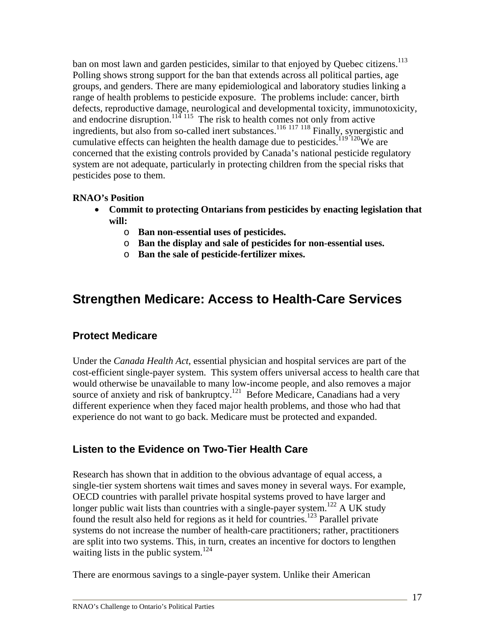ban on most lawn and garden pesticides, similar to that enjoyed by Quebec citizens.<sup>113</sup> Polling shows strong support for the ban that extends across all political parties, age groups, and genders. There are many epidemiological and laboratory studies linking a range of health problems to pesticide exposure. The problems include: cancer, birth defects, reproductive damage, neurological and developmental toxicity, immunotoxicity, and endocrine disruption.<sup>114 115</sup> The risk to health comes not only from active ingredients, but also from so-called inert substances.<sup>116 117 118</sup> Finally, synergistic and cumulative effects can heighten the health damage due to pesticides.<sup>119 120</sup>We are concerned that the existing controls provided by Canada's national pesticide regulatory system are not adequate, particularly in protecting children from the special risks that pesticides pose to them.

#### **RNAO's Position**

- **Commit to protecting Ontarians from pesticides by enacting legislation that will:** 
	- o **Ban non-essential uses of pesticides.**
	- o **Ban the display and sale of pesticides for non-essential uses.**
	- o **Ban the sale of pesticide-fertilizer mixes.**

# **Strengthen Medicare: Access to Health-Care Services**

## **Protect Medicare**

Under the *Canada Health Act*, essential physician and hospital services are part of the cost-efficient single-payer system. This system offers universal access to health care that would otherwise be unavailable to many low-income people, and also removes a major source of anxiety and risk of bankruptcy.<sup>121</sup> Before Medicare, Canadians had a very different experience when they faced major health problems, and those who had that experience do not want to go back. Medicare must be protected and expanded.

## **Listen to the Evidence on Two-Tier Health Care**

Research has shown that in addition to the obvious advantage of equal access, a single-tier system shortens wait times and saves money in several ways. For example, OECD countries with parallel private hospital systems proved to have larger and longer public wait lists than countries with a single-payer system.<sup>122</sup> A UK study found the result also held for regions as it held for countries.<sup>123</sup> Parallel private systems do not increase the number of health-care practitioners; rather, practitioners are split into two systems. This, in turn, creates an incentive for doctors to lengthen waiting lists in the public system.<sup>124</sup>

There are enormous savings to a single-payer system. Unlike their American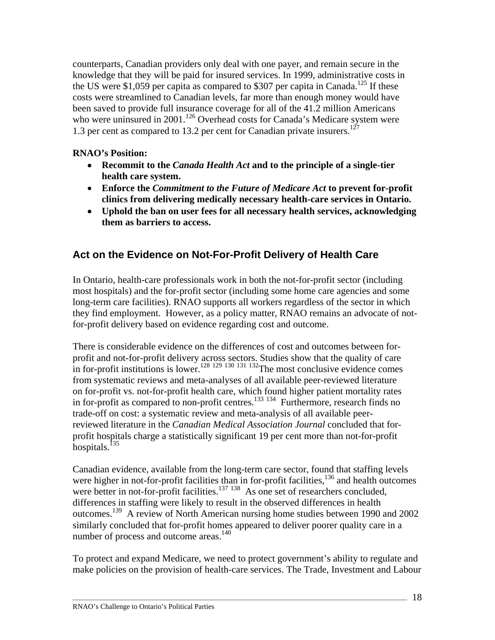counterparts, Canadian providers only deal with one payer, and remain secure in the knowledge that they will be paid for insured services. In 1999, administrative costs in the US were \$1,059 per capita as compared to \$307 per capita in Canada.<sup>125</sup> If these costs were streamlined to Canadian levels, far more than enough money would have been saved to provide full insurance coverage for all of the 41.2 million Americans who were uninsured in 2001.<sup>126</sup> Overhead costs for Canada's Medicare system were 1.3 per cent as compared to 13.2 per cent for Canadian private insurers.<sup>127</sup>

#### **RNAO's Position:**

- **Recommit to the** *Canada Health Act* **and to the principle of a single-tier health care system.**
- **Enforce the** *Commitment to the Future of Medicare Act* **to prevent for-profit clinics from delivering medically necessary health-care services in Ontario.**
- **Uphold the ban on user fees for all necessary health services, acknowledging them as barriers to access.**

## **Act on the Evidence on Not-For-Profit Delivery of Health Care**

In Ontario, health-care professionals work in both the not-for-profit sector (including most hospitals) and the for-profit sector (including some home care agencies and some long-term care facilities). RNAO supports all workers regardless of the sector in which they find employment. However, as a policy matter, RNAO remains an advocate of notfor-profit delivery based on evidence regarding cost and outcome.

There is considerable evidence on the differences of cost and outcomes between forprofit and not-for-profit delivery across sectors. Studies show that the quality of care in for-profit institutions is lower.<sup>128 129 130 131 132</sup>The most conclusive evidence comes from systematic reviews and meta-analyses of all available peer-reviewed literature on for-profit vs. not-for-profit health care, which found higher patient mortality rates in for-profit as compared to non-profit centres.<sup>133 134</sup> Furthermore, research finds no trade-off on cost: a systematic review and meta-analysis of all available peerreviewed literature in the *Canadian Medical Association Journal* concluded that forprofit hospitals charge a statistically significant 19 per cent more than not-for-profit hospitals. $^{135}$ 

Canadian evidence, available from the long-term care sector, found that staffing levels were higher in not-for-profit facilities than in for-profit facilities,<sup>136</sup> and health outcomes were better in not-for-profit facilities.<sup>137 138</sup> As one set of researchers concluded, differences in staffing were likely to result in the observed differences in health outcomes.139 A review of North American nursing home studies between 1990 and 2002 similarly concluded that for-profit homes appeared to deliver poorer quality care in a number of process and outcome areas.<sup>140</sup>

To protect and expand Medicare, we need to protect government's ability to regulate and make policies on the provision of health-care services. The Trade, Investment and Labour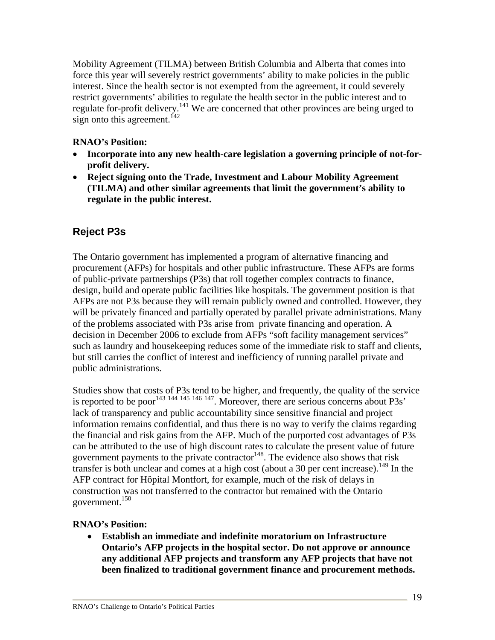Mobility Agreement (TILMA) between British Columbia and Alberta that comes into force this year will severely restrict governments' ability to make policies in the public interest. Since the health sector is not exempted from the agreement, it could severely restrict governments' abilities to regulate the health sector in the public interest and to regulate for-profit delivery.<sup>141</sup> We are concerned that other provinces are being urged to sign onto this agreement.<sup> $142$ </sup>

#### **RNAO's Position:**

- **Incorporate into any new health-care legislation a governing principle of not-forprofit delivery.**
- **Reject signing onto the Trade, Investment and Labour Mobility Agreement (TILMA) and other similar agreements that limit the government's ability to regulate in the public interest.**

## **Reject P3s**

The Ontario government has implemented a program of alternative financing and procurement (AFPs) for hospitals and other public infrastructure. These AFPs are forms of public-private partnerships (P3s) that roll together complex contracts to finance, design, build and operate public facilities like hospitals. The government position is that AFPs are not P3s because they will remain publicly owned and controlled. However, they will be privately financed and partially operated by parallel private administrations. Many of the problems associated with P3s arise from private financing and operation. A decision in December 2006 to exclude from AFPs "soft facility management services" such as laundry and housekeeping reduces some of the immediate risk to staff and clients, but still carries the conflict of interest and inefficiency of running parallel private and public administrations.

Studies show that costs of P3s tend to be higher, and frequently, the quality of the service is reported to be poor<sup>143 144 145 146 147</sup>. Moreover, there are serious concerns about P3s' lack of transparency and public accountability since sensitive financial and project information remains confidential, and thus there is no way to verify the claims regarding the financial and risk gains from the AFP. Much of the purported cost advantages of P3s can be attributed to the use of high discount rates to calculate the present value of future government payments to the private contractor $148$ . The evidence also shows that risk transfer is both unclear and comes at a high cost (about a 30 per cent increase).<sup>149</sup> In the AFP contract for Hôpital Montfort, for example, much of the risk of delays in construction was not transferred to the contractor but remained with the Ontario government.<sup>150</sup>

#### **RNAO's Position:**

• **Establish an immediate and indefinite moratorium on Infrastructure Ontario's AFP projects in the hospital sector. Do not approve or announce any additional AFP projects and transform any AFP projects that have not been finalized to traditional government finance and procurement methods.**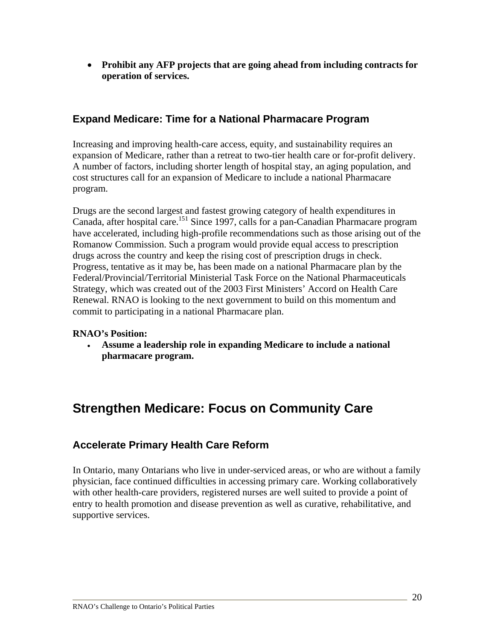• **Prohibit any AFP projects that are going ahead from including contracts for operation of services.** 

## **Expand Medicare: Time for a National Pharmacare Program**

Increasing and improving health-care access, equity, and sustainability requires an expansion of Medicare, rather than a retreat to two-tier health care or for-profit delivery. A number of factors, including shorter length of hospital stay, an aging population, and cost structures call for an expansion of Medicare to include a national Pharmacare program.

Drugs are the second largest and fastest growing category of health expenditures in Canada, after hospital care.<sup>151</sup> Since 1997, calls for a pan-Canadian Pharmacare program have accelerated, including high-profile recommendations such as those arising out of the Romanow Commission. Such a program would provide equal access to prescription drugs across the country and keep the rising cost of prescription drugs in check. Progress, tentative as it may be, has been made on a national Pharmacare plan by the Federal/Provincial/Territorial Ministerial Task Force on the National Pharmaceuticals Strategy, which was created out of the 2003 First Ministers' Accord on Health Care Renewal. RNAO is looking to the next government to build on this momentum and commit to participating in a national Pharmacare plan.

#### **RNAO's Position:**

• **Assume a leadership role in expanding Medicare to include a national pharmacare program.**

# **Strengthen Medicare: Focus on Community Care**

## **Accelerate Primary Health Care Reform**

In Ontario, many Ontarians who live in under-serviced areas, or who are without a family physician, face continued difficulties in accessing primary care. Working collaboratively with other health-care providers, registered nurses are well suited to provide a point of entry to health promotion and disease prevention as well as curative, rehabilitative, and supportive services.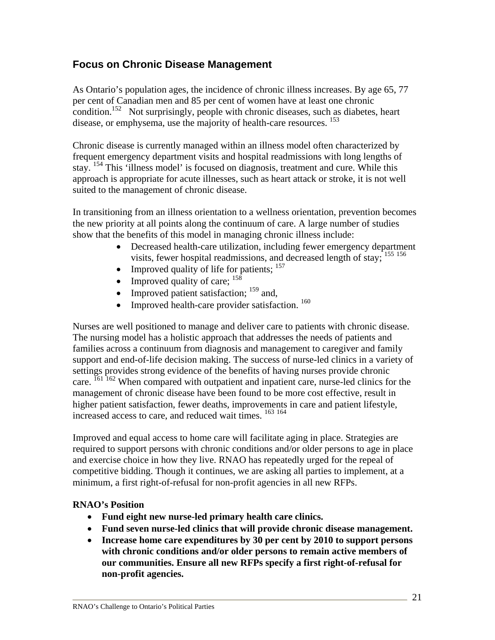## **Focus on Chronic Disease Management**

As Ontario's population ages, the incidence of chronic illness increases. By age 65, 77 per cent of Canadian men and 85 per cent of women have at least one chronic condition.<sup>152</sup> Not surprisingly, people with chronic diseases, such as diabetes, heart disease, or emphysema, use the majority of health-care resources. <sup>153</sup>

Chronic disease is currently managed within an illness model often characterized by frequent emergency department visits and hospital readmissions with long lengths of stay. <sup>154</sup> This 'illness model' is focused on diagnosis, treatment and cure. While this approach is appropriate for acute illnesses, such as heart attack or stroke, it is not well suited to the management of chronic disease.

In transitioning from an illness orientation to a wellness orientation, prevention becomes the new priority at all points along the continuum of care. A large number of studies show that the benefits of this model in managing chronic illness include:

- Decreased health-care utilization, including fewer emergency department visits, fewer hospital readmissions, and decreased length of stay; 155 <sup>156</sup>
- Improved quality of life for patients;  $157$
- Improved quality of care:  $^{158}$
- Improved patient satisfaction;  $159$  and,
- Improved health-care provider satisfaction.  $160$

Nurses are well positioned to manage and deliver care to patients with chronic disease. The nursing model has a holistic approach that addresses the needs of patients and families across a continuum from diagnosis and management to caregiver and family support and end-of-life decision making. The success of nurse-led clinics in a variety of settings provides strong evidence of the benefits of having nurses provide chronic care. <sup>161 162</sup> When compared with outpatient and inpatient care, nurse-led clinics for the management of chronic disease have been found to be more cost effective, result in higher patient satisfaction, fewer deaths, improvements in care and patient lifestyle, increased access to care, and reduced wait times. <sup>163</sup> 164

Improved and equal access to home care will facilitate aging in place. Strategies are required to support persons with chronic conditions and/or older persons to age in place and exercise choice in how they live. RNAO has repeatedly urged for the repeal of competitive bidding. Though it continues, we are asking all parties to implement, at a minimum, a first right-of-refusal for non-profit agencies in all new RFPs.

#### **RNAO's Position**

- **Fund eight new nurse-led primary health care clinics.**
- **Fund seven nurse-led clinics that will provide chronic disease management.**
- **Increase home care expenditures by 30 per cent by 2010 to support persons with chronic conditions and/or older persons to remain active members of our communities. Ensure all new RFPs specify a first right-of-refusal for non-profit agencies.**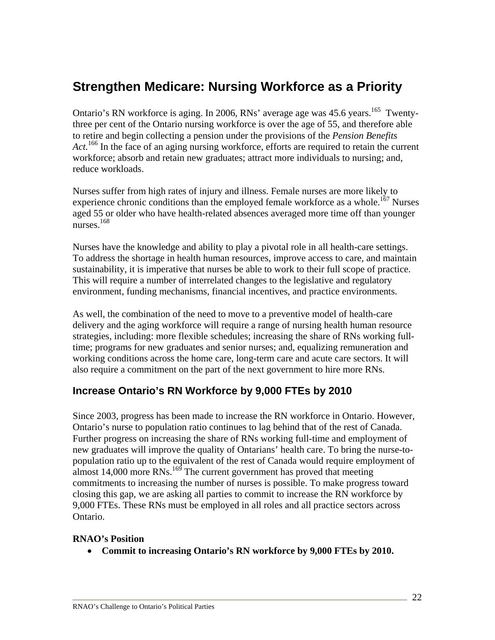# **Strengthen Medicare: Nursing Workforce as a Priority**

Ontario's RN workforce is aging. In 2006, RNs' average age was  $45.6$  vears.<sup>165</sup> Twentythree per cent of the Ontario nursing workforce is over the age of 55, and therefore able to retire and begin collecting a pension under the provisions of the *Pension Benefits*  Act.<sup>166</sup> In the face of an aging nursing workforce, efforts are required to retain the current workforce; absorb and retain new graduates; attract more individuals to nursing; and, reduce workloads.

Nurses suffer from high rates of injury and illness. Female nurses are more likely to experience chronic conditions than the employed female workforce as a whole.<sup>167</sup> Nurses aged 55 or older who have health-related absences averaged more time off than younger nurses.168

Nurses have the knowledge and ability to play a pivotal role in all health-care settings. To address the shortage in health human resources, improve access to care, and maintain sustainability, it is imperative that nurses be able to work to their full scope of practice. This will require a number of interrelated changes to the legislative and regulatory environment, funding mechanisms, financial incentives, and practice environments.

As well, the combination of the need to move to a preventive model of health-care delivery and the aging workforce will require a range of nursing health human resource strategies, including: more flexible schedules; increasing the share of RNs working fulltime; programs for new graduates and senior nurses; and, equalizing remuneration and working conditions across the home care, long-term care and acute care sectors. It will also require a commitment on the part of the next government to hire more RNs.

## **Increase Ontario's RN Workforce by 9,000 FTEs by 2010**

Since 2003, progress has been made to increase the RN workforce in Ontario. However, Ontario's nurse to population ratio continues to lag behind that of the rest of Canada. Further progress on increasing the share of RNs working full-time and employment of new graduates will improve the quality of Ontarians' health care. To bring the nurse-topopulation ratio up to the equivalent of the rest of Canada would require employment of almost  $14,000$  more RNs.<sup>169</sup> The current government has proved that meeting commitments to increasing the number of nurses is possible. To make progress toward closing this gap, we are asking all parties to commit to increase the RN workforce by 9,000 FTEs. These RNs must be employed in all roles and all practice sectors across Ontario.

#### **RNAO's Position**

• **Commit to increasing Ontario's RN workforce by 9,000 FTEs by 2010.**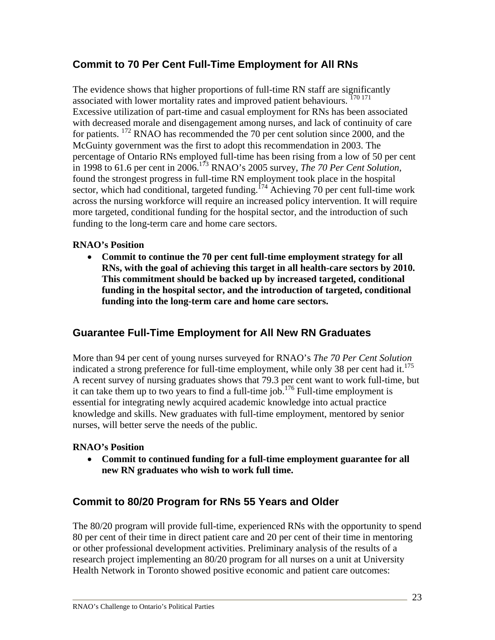## **Commit to 70 Per Cent Full-Time Employment for All RNs**

The evidence shows that higher proportions of full-time RN staff are significantly associated with lower mortality rates and improved patient behaviours.<sup>170 171</sup> Excessive utilization of part-time and casual employment for RNs has been associated with decreased morale and disengagement among nurses, and lack of continuity of care for patients. <sup>172</sup> RNAO has recommended the 70 per cent solution since 2000, and the McGuinty government was the first to adopt this recommendation in 2003. The percentage of Ontario RNs employed full-time has been rising from a low of 50 per cent in 1998 to 61.6 per cent in 2006.<sup>173</sup> RNAO's 2005 survey, *The 70 Per Cent Solution*, found the strongest progress in full-time RN employment took place in the hospital sector, which had conditional, targeted funding.<sup>174</sup> Achieving 70 per cent full-time work across the nursing workforce will require an increased policy intervention. It will require more targeted, conditional funding for the hospital sector, and the introduction of such funding to the long-term care and home care sectors.

#### **RNAO's Position**

• **Commit to continue the 70 per cent full-time employment strategy for all RNs, with the goal of achieving this target in all health-care sectors by 2010. This commitment should be backed up by increased targeted, conditional funding in the hospital sector, and the introduction of targeted, conditional funding into the long-term care and home care sectors.**

## **Guarantee Full-Time Employment for All New RN Graduates**

More than 94 per cent of young nurses surveyed for RNAO's *The 70 Per Cent Solution* indicated a strong preference for full-time employment, while only 38 per cent had it.<sup>175</sup> A recent survey of nursing graduates shows that 79.3 per cent want to work full-time, but it can take them up to two years to find a full-time job.176 Full-time employment is essential for integrating newly acquired academic knowledge into actual practice knowledge and skills. New graduates with full-time employment, mentored by senior nurses, will better serve the needs of the public.

#### **RNAO's Position**

• **Commit to continued funding for a full-time employment guarantee for all new RN graduates who wish to work full time.** 

## **Commit to 80/20 Program for RNs 55 Years and Older**

The 80/20 program will provide full-time, experienced RNs with the opportunity to spend 80 per cent of their time in direct patient care and 20 per cent of their time in mentoring or other professional development activities. Preliminary analysis of the results of a research project implementing an 80/20 program for all nurses on a unit at University Health Network in Toronto showed positive economic and patient care outcomes: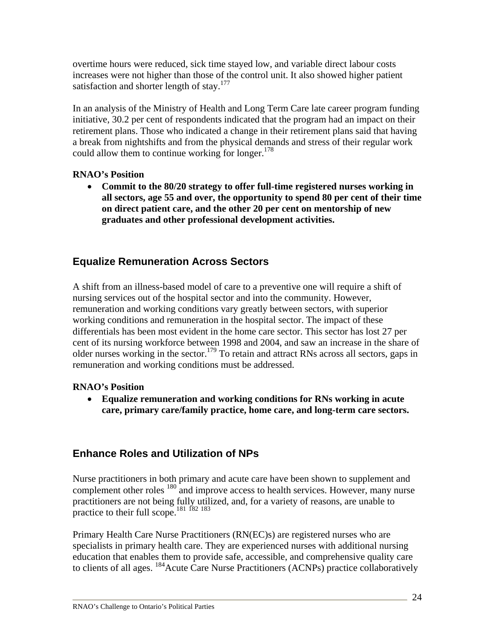overtime hours were reduced, sick time stayed low, and variable direct labour costs increases were not higher than those of the control unit. It also showed higher patient satisfaction and shorter length of stay. $177$ 

In an analysis of the Ministry of Health and Long Term Care late career program funding initiative, 30.2 per cent of respondents indicated that the program had an impact on their retirement plans. Those who indicated a change in their retirement plans said that having a break from nightshifts and from the physical demands and stress of their regular work could allow them to continue working for longer. $178$ 

#### **RNAO's Position**

• **Commit to the 80/20 strategy to offer full-time registered nurses working in all sectors, age 55 and over, the opportunity to spend 80 per cent of their time on direct patient care, and the other 20 per cent on mentorship of new graduates and other professional development activities.** 

## **Equalize Remuneration Across Sectors**

A shift from an illness-based model of care to a preventive one will require a shift of nursing services out of the hospital sector and into the community. However, remuneration and working conditions vary greatly between sectors, with superior working conditions and remuneration in the hospital sector. The impact of these differentials has been most evident in the home care sector. This sector has lost 27 per cent of its nursing workforce between 1998 and 2004, and saw an increase in the share of older nurses working in the sector.<sup>179</sup> To retain and attract RNs across all sectors, gaps in remuneration and working conditions must be addressed.

#### **RNAO's Position**

• **Equalize remuneration and working conditions for RNs working in acute care, primary care/family practice, home care, and long-term care sectors.** 

## **Enhance Roles and Utilization of NPs**

Nurse practitioners in both primary and acute care have been shown to supplement and complement other roles <sup>180</sup> and improve access to health services. However, many nurse practitioners are not being fully utilized, and, for a variety of reasons, are unable to practice to their full scope.181 <sup>182</sup> <sup>183</sup>

Primary Health Care Nurse Practitioners (RN(EC)s) are registered nurses who are specialists in primary health care. They are experienced nurses with additional nursing education that enables them to provide safe, accessible, and comprehensive quality care to clients of all ages. <sup>184</sup> Acute Care Nurse Practitioners (ACNPs) practice collaboratively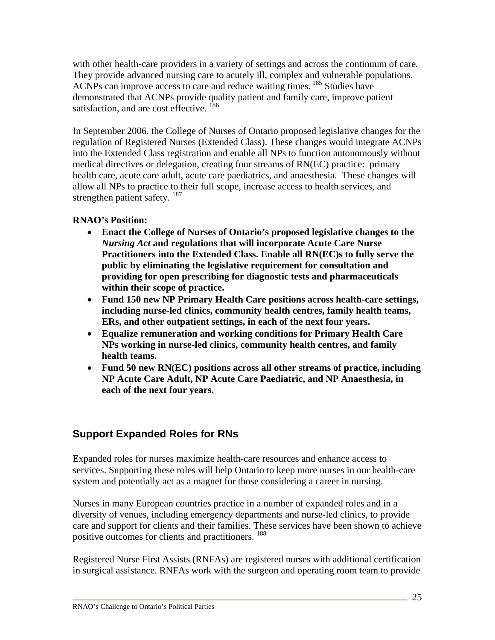with other health-care providers in a variety of settings and across the continuum of care*.*  They provide advanced nursing care to acutely ill, complex and vulnerable populations. ACNPs can improve access to care and reduce waiting times. <sup>185</sup> Studies have demonstrated that ACNPs provide quality patient and family care, improve patient satisfaction, and are cost effective. <sup>186</sup>

In September 2006, the College of Nurses of Ontario proposed legislative changes for the regulation of Registered Nurses (Extended Class). These changes would integrate ACNPs into the Extended Class registration and enable all NPs to function autonomously without medical directives or delegation, creating four streams of RN(EC) practice: primary health care, acute care adult, acute care paediatrics, and anaesthesia. These changes will allow all NPs to practice to their full scope, increase access to health services, and strengthen patient safety.<sup>187</sup>

#### **RNAO's Position:**

- **Enact the College of Nurses of Ontario's proposed legislative changes to the**  *Nursing Act* **and regulations that will incorporate Acute Care Nurse Practitioners into the Extended Class. Enable all RN(EC)s to fully serve the public by eliminating the legislative requirement for consultation and providing for open prescribing for diagnostic tests and pharmaceuticals within their scope of practice.**
- **Fund 150 new NP Primary Health Care positions across health-care settings, including nurse-led clinics, community health centres, family health teams, ERs, and other outpatient settings, in each of the next four years.**
- **Equalize remuneration and working conditions for Primary Health Care NPs working in nurse-led clinics, community health centres, and family health teams.**
- **Fund 50 new RN(EC) positions across all other streams of practice, including NP Acute Care Adult, NP Acute Care Paediatric, and NP Anaesthesia, in each of the next four years.**

## **Support Expanded Roles for RNs**

Expanded roles for nurses maximize health-care resources and enhance access to services. Supporting these roles will help Ontario to keep more nurses in our health-care system and potentially act as a magnet for those considering a career in nursing.

Nurses in many European countries practice in a number of expanded roles and in a diversity of venues, including emergency departments and nurse-led clinics, to provide care and support for clients and their families. These services have been shown to achieve positive outcomes for clients and practitioners. <sup>188</sup>

Registered Nurse First Assists (RNFAs) are registered nurses with additional certification in surgical assistance. RNFAs work with the surgeon and operating room team to provide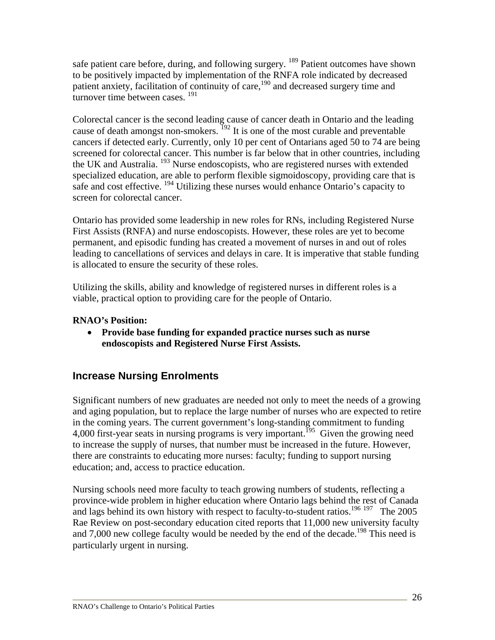safe patient care before, during, and following surgery. <sup>189</sup> Patient outcomes have shown to be positively impacted by implementation of the RNFA role indicated by decreased patient anxiety, facilitation of continuity of care,<sup>190</sup> and decreased surgery time and turnover time between cases.<sup>191</sup>

Colorectal cancer is the second leading cause of cancer death in Ontario and the leading cause of death amongst non-smokers.  $^{192}$  It is one of the most curable and preventable cancers if detected early. Currently, only 10 per cent of Ontarians aged 50 to 74 are being screened for colorectal cancer. This number is far below that in other countries, including the UK and Australia. <sup>193</sup> Nurse endoscopists, who are registered nurses with extended specialized education, are able to perform flexible sigmoidoscopy, providing care that is safe and cost effective. <sup>194</sup> Utilizing these nurses would enhance Ontario's capacity to screen for colorectal cancer.

Ontario has provided some leadership in new roles for RNs, including Registered Nurse First Assists (RNFA) and nurse endoscopists. However, these roles are yet to become permanent, and episodic funding has created a movement of nurses in and out of roles leading to cancellations of services and delays in care. It is imperative that stable funding is allocated to ensure the security of these roles.

Utilizing the skills, ability and knowledge of registered nurses in different roles is a viable, practical option to providing care for the people of Ontario.

#### **RNAO's Position:**

• **Provide base funding for expanded practice nurses such as nurse endoscopists and Registered Nurse First Assists.** 

## **Increase Nursing Enrolments**

Significant numbers of new graduates are needed not only to meet the needs of a growing and aging population, but to replace the large number of nurses who are expected to retire in the coming years. The current government's long-standing commitment to funding 4,000 first-year seats in nursing programs is very important.<sup>195</sup> Given the growing need to increase the supply of nurses, that number must be increased in the future. However, there are constraints to educating more nurses: faculty; funding to support nursing education; and, access to practice education.

Nursing schools need more faculty to teach growing numbers of students, reflecting a province-wide problem in higher education where Ontario lags behind the rest of Canada and lags behind its own history with respect to faculty-to-student ratios.<sup>196 197</sup> The 2005 Rae Review on post-secondary education cited reports that 11,000 new university faculty and 7,000 new college faculty would be needed by the end of the decade.<sup>198</sup> This need is particularly urgent in nursing.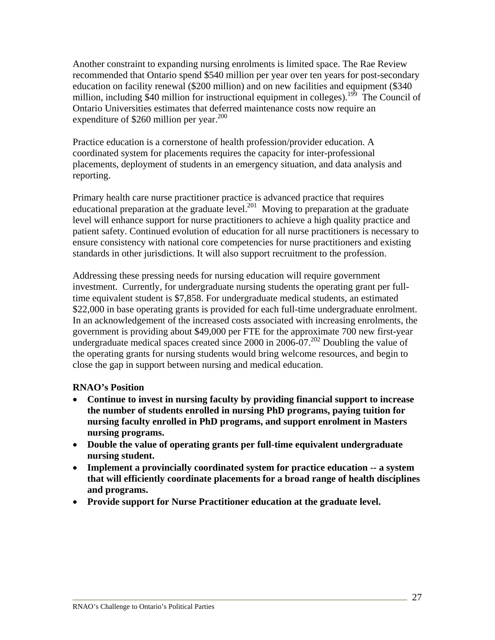Another constraint to expanding nursing enrolments is limited space. The Rae Review recommended that Ontario spend \$540 million per year over ten years for post-secondary education on facility renewal (\$200 million) and on new facilities and equipment (\$340 million, including \$40 million for instructional equipment in colleges).<sup>199</sup> The Council of Ontario Universities estimates that deferred maintenance costs now require an expenditure of \$260 million per year. $200$ 

Practice education is a cornerstone of health profession/provider education. A coordinated system for placements requires the capacity for inter-professional placements, deployment of students in an emergency situation, and data analysis and reporting.

Primary health care nurse practitioner practice is advanced practice that requires educational preparation at the graduate level.<sup>201</sup> Moving to preparation at the graduate level will enhance support for nurse practitioners to achieve a high quality practice and patient safety. Continued evolution of education for all nurse practitioners is necessary to ensure consistency with national core competencies for nurse practitioners and existing standards in other jurisdictions. It will also support recruitment to the profession.

Addressing these pressing needs for nursing education will require government investment. Currently, for undergraduate nursing students the operating grant per fulltime equivalent student is \$7,858. For undergraduate medical students, an estimated \$22,000 in base operating grants is provided for each full-time undergraduate enrolment. In an acknowledgement of the increased costs associated with increasing enrolments, the government is providing about \$49,000 per FTE for the approximate 700 new first-year undergraduate medical spaces created since 2000 in 2006-07.<sup>202</sup> Doubling the value of the operating grants for nursing students would bring welcome resources, and begin to close the gap in support between nursing and medical education.

#### **RNAO's Position**

- **Continue to invest in nursing faculty by providing financial support to increase the number of students enrolled in nursing PhD programs, paying tuition for nursing faculty enrolled in PhD programs, and support enrolment in Masters nursing programs.**
- **Double the value of operating grants per full-time equivalent undergraduate nursing student.**
- **Implement a provincially coordinated system for practice education -- a system that will efficiently coordinate placements for a broad range of health disciplines and programs.**
- **Provide support for Nurse Practitioner education at the graduate level.**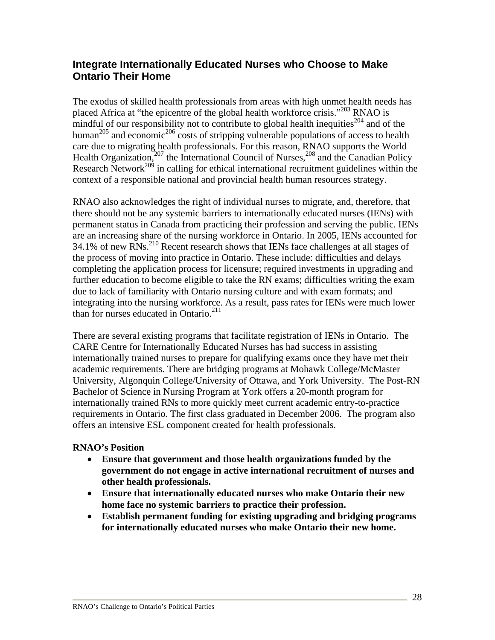## **Integrate Internationally Educated Nurses who Choose to Make Ontario Their Home**

The exodus of skilled health professionals from areas with high unmet health needs has placed Africa at "the epicentre of the global health workforce crisis."<sup>203</sup> RNAO is mindful of our responsibility not to contribute to global health inequities<sup>204</sup> and of the human<sup>205</sup> and economic<sup>206</sup> costs of stripping vulnerable populations of access to health care due to migrating health professionals. For this reason, RNAO supports the World Health Organization,<sup>207</sup> the International Council of Nurses,<sup>208</sup> and the Canadian Policy Research Network<sup>209</sup> in calling for ethical international recruitment guidelines within the context of a responsible national and provincial health human resources strategy.

RNAO also acknowledges the right of individual nurses to migrate, and, therefore, that there should not be any systemic barriers to internationally educated nurses (IENs) with permanent status in Canada from practicing their profession and serving the public. IENs are an increasing share of the nursing workforce in Ontario. In 2005, IENs accounted for  $34.1\%$  of new RNs.<sup>210</sup> Recent research shows that IENs face challenges at all stages of the process of moving into practice in Ontario. These include: difficulties and delays completing the application process for licensure; required investments in upgrading and further education to become eligible to take the RN exams; difficulties writing the exam due to lack of familiarity with Ontario nursing culture and with exam formats; and integrating into the nursing workforce. As a result, pass rates for IENs were much lower than for nurses educated in Ontario. $211$ 

There are several existing programs that facilitate registration of IENs in Ontario. The CARE Centre for Internationally Educated Nurses has had success in assisting internationally trained nurses to prepare for qualifying exams once they have met their academic requirements. There are bridging programs at Mohawk College/McMaster University, Algonquin College/University of Ottawa, and York University. The Post-RN Bachelor of Science in Nursing Program at York offers a 20-month program for internationally trained RNs to more quickly meet current academic entry-to-practice requirements in Ontario. The first class graduated in December 2006. The program also offers an intensive ESL component created for health professionals.

#### **RNAO's Position**

- **Ensure that government and those health organizations funded by the government do not engage in active international recruitment of nurses and other health professionals.**
- **Ensure that internationally educated nurses who make Ontario their new home face no systemic barriers to practice their profession.**
- **Establish permanent funding for existing upgrading and bridging programs for internationally educated nurses who make Ontario their new home.**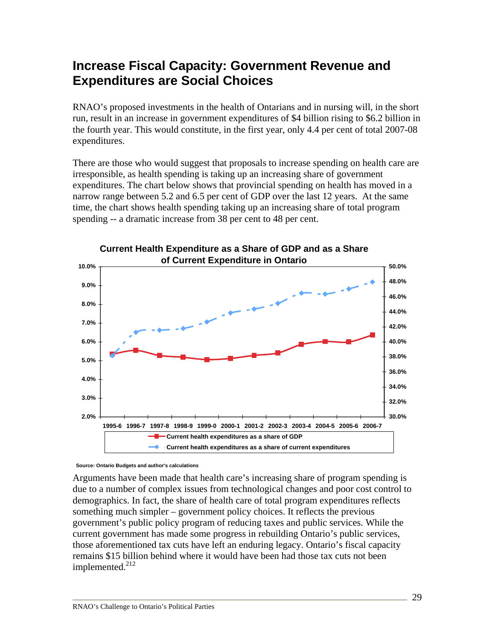# **Increase Fiscal Capacity: Government Revenue and Expenditures are Social Choices**

RNAO's proposed investments in the health of Ontarians and in nursing will, in the short run, result in an increase in government expenditures of \$4 billion rising to \$6.2 billion in the fourth year. This would constitute, in the first year, only 4.4 per cent of total 2007-08 expenditures.

There are those who would suggest that proposals to increase spending on health care are irresponsible, as health spending is taking up an increasing share of government expenditures. The chart below shows that provincial spending on health has moved in a narrow range between 5.2 and 6.5 per cent of GDP over the last 12 years. At the same time, the chart shows health spending taking up an increasing share of total program spending -- a dramatic increase from 38 per cent to 48 per cent.



**Source: Ontario Budgets and author's calculations**

Arguments have been made that health care's increasing share of program spending is due to a number of complex issues from technological changes and poor cost control to demographics. In fact, the share of health care of total program expenditures reflects something much simpler – government policy choices. It reflects the previous government's public policy program of reducing taxes and public services. While the current government has made some progress in rebuilding Ontario's public services, those aforementioned tax cuts have left an enduring legacy. Ontario's fiscal capacity remains \$15 billion behind where it would have been had those tax cuts not been implemented.<sup>212</sup>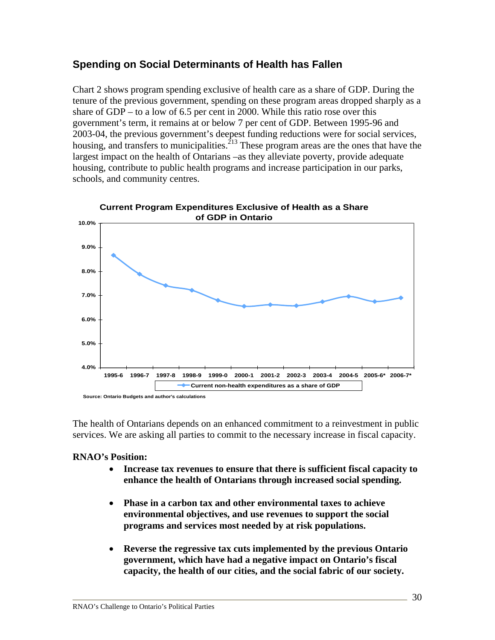## **Spending on Social Determinants of Health has Fallen**

Chart 2 shows program spending exclusive of health care as a share of GDP. During the tenure of the previous government, spending on these program areas dropped sharply as a share of GDP – to a low of 6.5 per cent in 2000. While this ratio rose over this government's term, it remains at or below 7 per cent of GDP. Between 1995-96 and 2003-04, the previous government's deepest funding reductions were for social services, housing, and transfers to municipalities.<sup>213</sup> These program areas are the ones that have the largest impact on the health of Ontarians –as they alleviate poverty, provide adequate housing, contribute to public health programs and increase participation in our parks, schools, and community centres.



The health of Ontarians depends on an enhanced commitment to a reinvestment in public services. We are asking all parties to commit to the necessary increase in fiscal capacity.

#### **RNAO's Position:**

- **Increase tax revenues to ensure that there is sufficient fiscal capacity to enhance the health of Ontarians through increased social spending.**
- **Phase in a carbon tax and other environmental taxes to achieve environmental objectives, and use revenues to support the social programs and services most needed by at risk populations.**
- **Reverse the regressive tax cuts implemented by the previous Ontario government, which have had a negative impact on Ontario's fiscal capacity, the health of our cities, and the social fabric of our society.**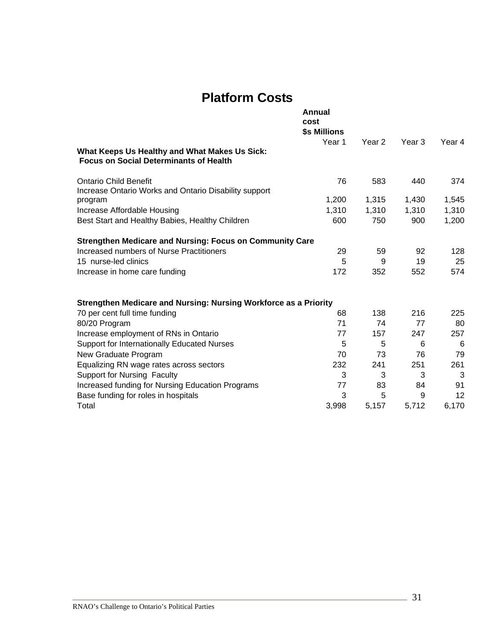# **Platform Costs**

|                                                                                                | Annual<br>cost<br>\$s Millions |        |                   |        |
|------------------------------------------------------------------------------------------------|--------------------------------|--------|-------------------|--------|
|                                                                                                | Year 1                         | Year 2 | Year <sub>3</sub> | Year 4 |
| What Keeps Us Healthy and What Makes Us Sick:<br><b>Focus on Social Determinants of Health</b> |                                |        |                   |        |
| <b>Ontario Child Benefit</b>                                                                   | 76                             | 583    | 440               | 374    |
| Increase Ontario Works and Ontario Disability support                                          |                                |        |                   |        |
| program                                                                                        | 1,200                          | 1,315  | 1,430             | 1,545  |
| Increase Affordable Housing                                                                    | 1,310                          | 1,310  | 1,310             | 1,310  |
| Best Start and Healthy Babies, Healthy Children                                                | 600                            | 750    | 900               | 1,200  |
| <b>Strengthen Medicare and Nursing: Focus on Community Care</b>                                |                                |        |                   |        |
| Increased numbers of Nurse Practitioners                                                       | 29                             | 59     | 92                | 128    |
| 15 nurse-led clinics                                                                           | 5                              | 9      | 19                | 25     |
| Increase in home care funding                                                                  | 172                            | 352    | 552               | 574    |
| Strengthen Medicare and Nursing: Nursing Workforce as a Priority                               |                                |        |                   |        |
| 70 per cent full time funding                                                                  | 68                             | 138    | 216               | 225    |
| 80/20 Program                                                                                  | 71                             | 74     | 77                | 80     |
| Increase employment of RNs in Ontario                                                          | 77                             | 157    | 247               | 257    |
| Support for Internationally Educated Nurses                                                    | 5                              | 5      | 6                 | 6      |
| New Graduate Program                                                                           | 70                             | 73     | 76                | 79     |
| Equalizing RN wage rates across sectors                                                        | 232                            | 241    | 251               | 261    |
| <b>Support for Nursing Faculty</b>                                                             | 3                              | 3      | 3                 | 3      |
| Increased funding for Nursing Education Programs                                               | 77                             | 83     | 84                | 91     |
| Base funding for roles in hospitals                                                            | 3                              | 5      | 9                 | 12     |
| Total                                                                                          | 3,998                          | 5,157  | 5,712             | 6,170  |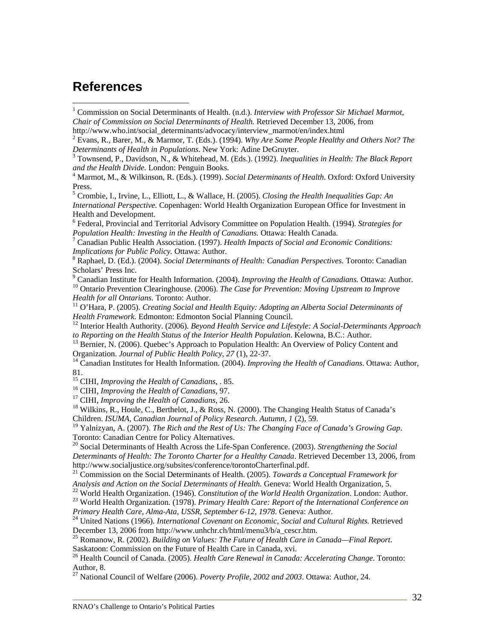## **References**

 $\overline{a}$ 

<sup>1</sup> Commission on Social Determinants of Health. (n.d.). *Interview with Professor Sir Michael Marmot*, *Chair of Commission on Social Determinants of Health.* Retrieved December 13, 2006, from http://www.who.int/social\_determinants/advocacy/interview\_marmot/en/index.html

 Evans, R., Barer, M., & Marmor, T. (Eds.). (1994). *Why Are Some People Healthy and Others Not? The Determinants of Health in Populations*. New York: Adine DeGruyter. 3

 Townsend, P., Davidson, N., & Whitehead, M. (Eds.). (1992). *Inequalities in Health: The Black Report and the Health Divide.* London: Penguin Books. 4

<sup>4</sup> Marmot, M., & Wilkinson, R. (Eds.). (1999). *Social Determinants of Health*. Oxford: Oxford University Press.

5 Crombie, I., Irvine, L., Elliott, L., & Wallace, H. (2005). *Closing the Health Inequalities Gap: An International Perspective.* Copenhagen: World Health Organization European Office for Investment in Health and Development.

6 Federal, Provincial and Territorial Advisory Committee on Population Health. (1994). *Strategies for Population Health: Investing in the Health of Canadians.* Ottawa: Health Canada.<br><sup>7</sup> Canadian Public Health Association. (1997). *Health Impacts of Social and Economic Conditions:* 

*Implications for Public Policy.* Ottawa: Author.

 Raphael, D. (Ed.). (2004). *Social Determinants of Health: Canadian Perspectives.* Toronto: Canadian Scholars' Press Inc.

 $\degree$  Canadian Institute for Health Information. (2004). Improving the Health of Canadians. Ottawa: Author. <sup>10</sup> Ontario Prevention Clearinghouse. (2006). *The Case for Prevention: Moving Upstream to Improve Health for all Ontarians*. Toronto: Author.

<sup>11</sup> O'Hara, P. (2005). *Creating Social and Health Equity: Adopting an Alberta Social Determinants of Health Framework. Edmonton: Edmonton Social Planning Council.* 

<sup>12</sup> Interior Health Authority. (2006). *Beyond Health Service and Lifestyle: A Social-Determinants Approach to Reporting on the Health Status of the Interior Health Population. Kelowna, B.C.: Author.* 

<sup>13</sup> Bernier, N. (2006). Quebec's Approach to Population Health: An Overview of Policy Content and Organization. *Journal of Public Health Policy*, 27 (1), 22-37.

<sup>14</sup> Canadian Institutes for Health Information. (2004). *Improving the Health of Canadians*. Ottawa: Author, 81.<br><sup>15</sup> CIHI, *Improving the Health of Canadians*, . 85.

<sup>16</sup> CIHI, *Improving the Health of Canadians*, 97.<br><sup>17</sup> CIHI, *Improving the Health of Canadians*, 26.<br><sup>18</sup> Wilkins, R., Houle, C., Berthelot, J., & Ross, N. (2000). The Changing Health Status of Canada's Children. *ISUMA, Canadian Journal of Policy Research. Autumn*, *1* (2), 59.

19 Yalnizyan, A. (2007). *The Rich and the Rest of Us: The Changing Face of Canada's Growing Gap*. Toronto: Canadian Centre for Policy Alternatives.

20 Social Determinants of Health Across the Life-Span Conference. (2003). *Strengthening the Social Determinants of Health: The Toronto Charter for a Healthy Canada*. Retrieved December 13, 2006, from http://www.socialjustice.org/subsites/conference/torontoCharterfinal.pdf. 21 Commission on the Social Determinants of Health. (2005). *Towards a Conceptual Framework for* 

Analysis and Action on the Social Determinants of Health. Geneva: World Health Organization, 5.<br><sup>22</sup> World Health Organization. (1946). Constitution of the World Health Organization. London: Author.<br><sup>23</sup> World Health Organ

<sup>24</sup> United Nations (1966). International Covenant on Economic, Social and Cultural Rights. Retrieved December 13, 2006 from http://www.unhchr.ch/html/menu3/b/a\_cescr.htm. 25 Romanow, R. (2002). *Building on Values: The Future of Health Care in Canada—Final Report*.

Saskatoon: Commission on the Future of Health Care in Canada, xvi.

26 Health Council of Canada. (2005). *Health Care Renewal in Canada: Accelerating Change*. Toronto: Author, 8.

27 National Council of Welfare (2006). *Poverty Profile, 2002 and 2003*. Ottawa: Author, 24.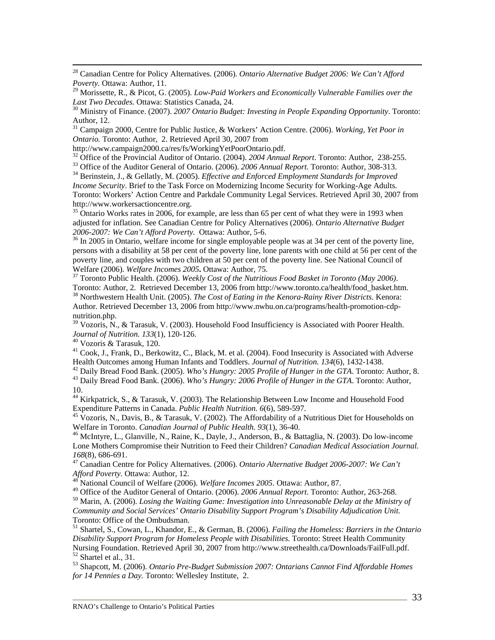28 Canadian Centre for Policy Alternatives. (2006). *Ontario Alternative Budget 2006: We Can't Afford Poverty.* Ottawa: Author, 11.

29 Morissette, R., & Picot, G. (2005). *Low-Paid Workers and Economically Vulnerable Families over the Last Two Decades.* Ottawa: Statistics Canada, 24.<br><sup>30</sup> Ministry of Finance. (2007). *2007 Ontario Budget: Investing in People Expanding Opportunity*. Toronto:

Author, 12.

31 Campaign 2000, Centre for Public Justice, & Workers' Action Centre. (2006). *Working, Yet Poor in Ontario.* Toronto: Author, 2. Retrieved April 30, 2007 from http://www.campaign2000.ca/res/fs/WorkingYetPoorOntario.pdf.

<sup>32</sup> Office of the Provincial Auditor of Ontario. (2004). 2004 Annual Report. Toronto: Author, 238-255.<br><sup>33</sup> Office of the Auditor General of Ontario. (2006). 2006 Annual Report. Toronto: Author, 308-313.<br><sup>34</sup> Berinstein,

*Income Security*. Brief to the Task Force on Modernizing Income Security for Working-Age Adults. Toronto: Workers' Action Centre and Parkdale Community Legal Services. Retrieved April 30, 2007 from http://www.workersactioncentre.org.

 $35$  Ontario Works rates in 2006, for example, are less than 65 per cent of what they were in 1993 when adjusted for inflation. See Canadian Centre for Policy Alternatives (2006). *Ontario Alternative Budget 2006-2007: We Can't Afford Poverty.* Ottawa: Author, 5-6. 36 In 2005 in Ontario, welfare income for single employable people was at 34 per cent of the poverty line,

persons with a disability at 58 per cent of the poverty line, lone parents with one child at 56 per cent of the poverty line, and couples with two children at 50 per cent of the poverty line. See National Council of Welfare (2006). *Welfare Incomes 2005***.** Ottawa: Author, 75.<br><sup>37</sup> Toronto Public Health. (2006). *Weekly Cost of the Nutritious Food Basket in Toronto (May 2006).* 

Toronto: Author, 2. Retrieved December 13, 2006 from http://www.toronto.ca/health/food\_basket.htm. 38 Northwestern Health Unit. (2005). *The Cost of Eating in the Kenora-Rainy River Districts*. Kenora: Author. Retrieved December 13, 2006 from http://www.nwhu.on.ca/programs/health-promotion-cdpnutrition.php.

 $39 \text{ Vozoris}, \text{N.}, \&$  Tarasuk, V. (2003). Household Food Insufficiency is Associated with Poorer Health. *Journal of Nutrition. 133*(1), 120-126. 40 Vozoris & Tarasuk, 120.

<sup>41</sup> Cook, J., Frank, D., Berkowitz, C., Black, M. et al. (2004). Food Insecurity is Associated with Adverse Health Outcomes among Human Infants and Toddlers. *Journal of Nutrition.* 134(6), 1432-1438.

<sup>42</sup> Daily Bread Food Bank. (2005). Who's Hungry: 2005 Profile of Hunger in the GTA. Toronto: Author, 8.<br><sup>43</sup> Daily Bread Food Bank. (2006). Who's Hungry: 2006 Profile of Hunger in the GTA. Toronto: Author, 10.

44 Kirkpatrick, S., & Tarasuk, V. (2003). The Relationship Between Low Income and Household Food

Expenditure Patterns in Canada. *Public Health Nutrition.* 6(6), 589-597.<br><sup>45</sup> Vozoris, N., Davis, B., & Tarasuk, V. (2002). The Affordability of a Nutritious Diet for Households on<br>Welfare in Toronto. *Canadian Journal of* 

<sup>46</sup> McIntyre, L., Glanville, N., Raine, K., Dayle, J., Anderson, B., & Battaglia, N. (2003). Do low-income Lone Mothers Compromise their Nutrition to Feed their Children? *Canadian Medical Association Journal.*

*168*(8), 686-691.<br><sup>47</sup> Canadian Centre for Policy Alternatives. (2006). *Ontario Alternative Budget 2006-2007: We Can't Afford Poverty.* Ottawa: Author, 12.<br><sup>48</sup> National Canadia CNV 15. (2006). We we we

*As*<br>Afford Pouncil of Welfare (2006). *Welfare Incomes 2005*. Ottawa: Author, 87.<br><sup>49</sup> Office of the Auditor General of Ontario. (2006). 2006 Annual Report. Toronto: Author, 263-268.

<sup>50</sup> Marin, A. (2006). *Losing the Waiting Game: Investigation into Unreasonable Delay at the Ministry of Community and Social Services' Ontario Disability Support Program's Disability Adjudication Unit.*  Toronto: Office of the Ombudsman.

51 Shartel, S., Cowan, L., Khandor, E., & German, B. (2006). *Failing the Homeless: Barriers in the Ontario Disability Support Program for Homeless People with Disabilities*. Toronto: Street Health Community Nursing Foundation. Retrieved April 30, 2007 from http://www.streethealth.ca/Downloads/FailFull.pdf. 52 Shartel et al., 31.

53 Shapcott, M. (2006). *Ontario Pre-Budget Submission 2007: Ontarians Cannot Find Affordable Homes for 14 Pennies a Day.* Toronto: Wellesley Institute, 2.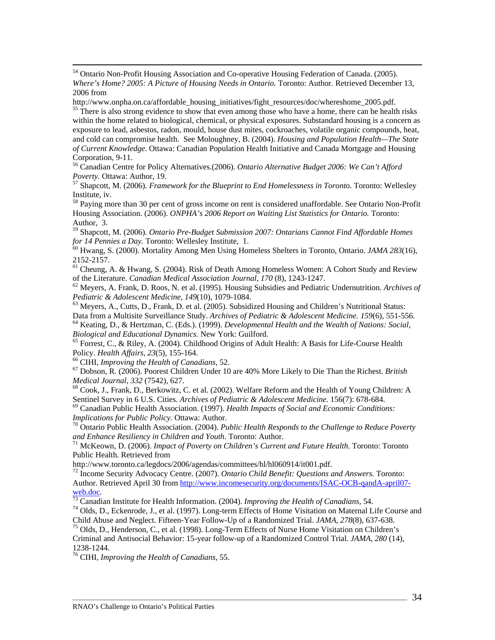<sup>54</sup> Ontario Non-Profit Housing Association and Co-operative Housing Federation of Canada. (2005). *Where's Home? 2005: A Picture of Housing Needs in Ontario.* Toronto: Author. Retrieved December 13, 2006 from

http://www.onpha.on.ca/affordable\_housing\_initiatives/fight\_resources/doc/whereshome\_2005.pdf.<br><sup>55</sup> There is also strong evidence to show that even among those who have a home, there can be health risks

within the home related to biological, chemical, or physical exposures. Substandard housing is a concern as exposure to lead, asbestos, radon, mould, house dust mites, cockroaches, volatile organic compounds, heat, and cold can compromise health. See Moloughney, B. (2004). *Housing and Population Health—The State of Current Knowledge*. Ottawa: Canadian Population Health Initiative and Canada Mortgage and Housing Corporation, 9-11.

56 Canadian Centre for Policy Alternatives.(2006). *Ontario Alternative Budget 2006: We Can't Afford Poverty.* Ottawa: Author, 19.<br><sup>57</sup> Shapcott, M. (2006). *Framework for the Blueprint to End Homelessness in Toronto*. Toronto: Wellesley

Institute, iv.

<sup>58</sup> Paying more than 30 per cent of gross income on rent is considered unaffordable. See Ontario Non-Profit Housing Association. (2006). *ONPHA's 2006 Report on Waiting List Statistics for Ontario.* Toronto: Author, 3.

59 Shapcott, M. (2006). *Ontario Pre-Budget Submission 2007: Ontarians Cannot Find Affordable Homes* 

*for 14 Pennies a Day.* Toronto: Wellesley Institute, 1.<br><sup>60</sup> Hwang, S. (2000). Mortality Among Men Using Homeless Shelters in Toronto, Ontario. *JAMA 283*(16), 2152-2157.

61 Cheung, A. & Hwang, S. (2004). Risk of Death Among Homeless Women: A Cohort Study and Review of the Literature. *Canadian Medical Association Journal, 170* (8), 1243-1247. 62 Meyers, A. Frank, D. Roos, N. et al. (1995). Housing Subsidies and Pediatric Undernutrition. *Archives of* 

*Pediatric & Adolescent Medicine, 149*(10), 1079-1084.<br><sup>63</sup> Meyers, A., Cutts, D., Frank, D. et al. (2005). Subsidized Housing and Children's Nutritional Status:<br>Data from a Multisite Surveillance Study. *Archives of Pedia* 

<sup>64</sup> Keating, D., & Hertzman, C. (Eds.). (1999). *Developmental Health and the Wealth of Nations: Social, Biological and Educational Dynamics. New York: Guilford.* 

<sup>65</sup> Forrest, C., & Riley, A. (2004). Childhood Origins of Adult Health: A Basis for Life-Course Health Policy. *Health Affairs, 23*(5), 155-164.<br><sup>66</sup> CIHI, *Improving the Health of Canadians*, 52. <sup>67</sup> Dobson, R. (2006). Poorest Children Under 10 are 40% More Likely to Die Than the Richest. *British* 

*Medical Journal, 332 (7542), 627.*<br><sup>68</sup> Cook, J., Frank, D., Berkowitz, C. et al. (2002). Welfare Reform and the Health of Young Children: A

Sentinel Survey in 6 U.S. Cities. *Archives of Pediatric & Adolescent Medicine*. 156(7): 678-684.<br><sup>69</sup> Canadian Public Health Association. (1997). *Health Impacts of Social and Economic Conditions: Implications for Publi* 

<sup>70</sup> Ontario Public Health Association. (2004). *Public Health Responds to the Challenge to Reduce Poverty and Enhance Resiliency in Children and Youth. Toronto: Author.* 

<sup>71</sup> McKeown, D. (2006). *Impact of Poverty on Children's Current and Future Health*. Toronto: Toronto Public Health. Retrieved from

http://www.toronto.ca/legdocs/2006/agendas/committees/hl/hl060914/it001.pdf. 72 Income Security Advocacy Centre. (2007). *Ontario Child Benefit: Questions and Answers.* Toronto: Author. Retrieved April 30 from http://www.incomesecurity.org/documents/ISAC-OCB-qandA-april07-

web.doc.<br><sup>73</sup> Canadian Institute for Health Information. (2004). *Improving the Health of Canadians*, 54.<br><sup>74</sup> Olds, D., Eckenrode, J., et al. (1997). Long-term Effects of Home Visitation on Maternal Life Course and<br>Child

<sup>75</sup> Olds, D., Henderson, C., et al. (1998). Long-Term Effects of Nurse Home Visitation on Children's Criminal and Antisocial Behavior: 15-year follow-up of a Randomized Control Trial. *JAMA, 280* (14), 1238-1244.

76 CIHI, *Improving the Health of Canadians*, 55.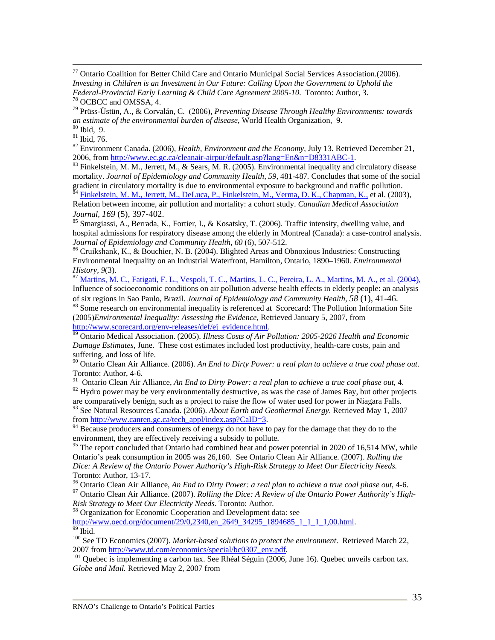77 Ontario Coalition for Better Child Care and Ontario Municipal Social Services Association.(2006). *Investing in Children is an Investment in Our Future: Calling Upon the Government to Uphold the Federal-Provincial Early Learning & Child Care Agreement 2005-10*. Toronto: Author, 3. 78 OCBCC and OMSSA, 4.

79 Prüss-Üstün, A., & Corvalán, C. (2006), *Preventing Disease Through Healthy Environments: towards an estimate of the environmental burden of disease*, World Health Organization, 9. 80 Ibid, 9.

81 Ibid, 76.

82 Environment Canada. (2006), *Health, Environment and the Economy*, July 13. Retrieved December 21, 2006, from <u>http://www.ec.gc.ca/cleanair-airpur/default.asp?lang=En&n=D8331ABC-1</u>.<br><sup>83</sup> Finkelstein, M. M., Jerrett, M., & Sears, M. R. (2005). Environmental inequality and circulatory disease

mortality. *Journal of Epidemiology and Community Health, 59*, 481-487*.* Concludes that some of the social gradient in circulatory mortality is due to environmental exposure to background and traffic pollution.

<sup>84</sup> Finkelstein, M. M., Jerrett, M., DeLuca, P., Finkelstein, M., Verma, D. K., Chapman, K., et al. (2003), Relation between income, air pollution and mortality: a cohort study. *Canadian Medical Association Journal, 169* (5), 397-402.<br><sup>85</sup> Smargiassi, A., Berrada, K., Fortier, I., & Kosatsky, T. (2006). Traffic intensity, dwelling value, and

hospital admissions for respiratory disease among the elderly in Montreal (Canada): a case-control analysis.<br>Journal of Epidemiology and Community Health, 60 (6), 507-512.

<sup>86</sup> Cruikshank, K., & Bouchier, N. B. (2004). Blighted Areas and Obnoxious Industries: Constructing Environmental Inequality on an Industrial Waterfront, Hamilton, Ontario, 1890–1960. *Environmental History, 9*(3).<br><sup>87</sup> Martins, M. C., Fatigati, <u>F. L., Vespoli, T. C., Martins, L. C., Pereira, L. A., Martins, M. A., et al. (2004),</u>

Influence of socioeconomic conditions on air pollution adverse health effects in elderly people: an analysis of six regions in Sao Paulo, Brazil. Journal of Epidemiology and Community Health, 58 (1), 41-46.

<sup>88</sup> Some research on environmental inequality is referenced at Scorecard: The Pollution Information Site (2005)*Environmental Inequality: Assessing the Evidence*, Retrieved January 5, 2007, from

http://www.scorecard.org/env-releases/def/ej\_evidence.html. 89 Ontario Medical Association. (2005). *Illness Costs of Air Pollution: 2005-2026 Health and Economic Damage Estimates*, June. These cost estimates included lost productivity, health-care costs, pain and suffering, and loss of life.

90 Ontario Clean Air Alliance. (2006). *An End to Dirty Power: a real plan to achieve a true coal phase out*. Toronto: Author, 4-6.

91 Ontario Clean Air Alliance, *An End to Dirty Power: a real plan to achieve a true coal phase out*, 4.

 $92$  Hydro power may be very environmentally destructive, as was the case of James Bay, but other projects are comparatively benign, such as a project to raise the flow of water used for power in Niagara Falls. 93 See Natural Resources Canada. (2006). *About Earth and Geothermal Energy.* Retrieved May 1, 2007

from http://www.canren.gc.ca/tech\_appl/index.asp?CaID=3. <sup>94</sup> Because producers and consumers of energy do not have to pay for the damage that they do to the environment, they are effectively receiving a subsidy to pollute.

<sup>95</sup> The report concluded that Ontario had combined heat and power potential in 2020 of 16,514 MW, while Ontario's peak consumption in 2005 was 26,160. See Ontario Clean Air Alliance. (2007). *Rolling the Dice: A Review of the Ontario Power Authority's High-Risk Strategy to Meet Our Electricity Needs.* Toronto: Author, 13-17.<br><sup>96</sup> Ontario Clean Air Alliance, *An End to Dirty Power: a real plan to achieve a true coal phase out*, 4-6.

<sup>97</sup> Ontario Clean Air Alliance. (2007). *Rolling the Dice: A Review of the Ontario Power Authority's High-*

*Risk Strategy to Meet Our Electricity Needs.* Toronto: Author.

98 Organization for Economic Cooperation and Development data: see

http://www.oecd.org/document/29/0,2340,en\_2649\_34295\_1894685\_1\_1\_1\_1,00.html. 99 Ibid.

<sup>100</sup> See TD Economics (2007). *Market-based solutions to protect the environment*. Retrieved March 22, 2007 from http://www.td.com/economics/special/bc0307 env.pdf.

<sup>101</sup> Quebec is implementing a carbon tax. See Rhéal Séguin (2006, June 16). Quebec unveils carbon tax. *Globe and Mail.* Retrieved May 2, 2007 from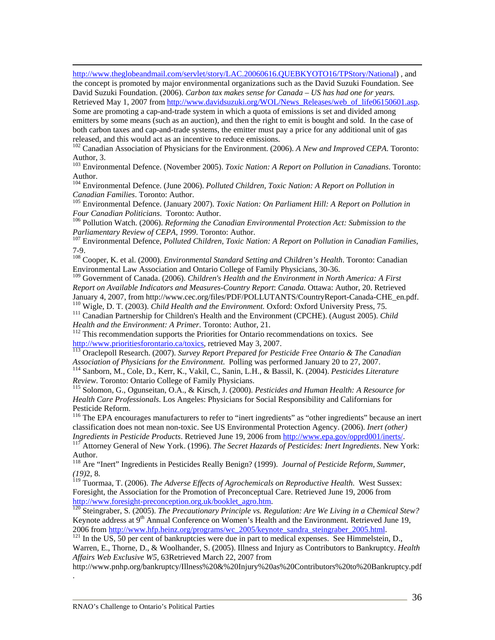http://www.theglobeandmail.com/servlet/story/LAC.20060616.QUEBKYOTO16/TPStory/National) , and the concept is promoted by major environmental organizations such as the David Suzuki Foundation. See David Suzuki Foundation. (2006). *Carbon tax makes sense for Canada – US has had one for years.* Retrieved May 1, 2007 from http://www.davidsuzuki.org/WOL/News\_Releases/web\_of\_life06150601.asp. Some are promoting a cap-and-trade system in which a quota of emissions is set and divided among emitters by some means (such as an auction), and then the right to emit is bought and sold. In the case of

both carbon taxes and cap-and-trade systems, the emitter must pay a price for any additional unit of gas released, and this would act as an incentive to reduce emissions.

102 Canadian Association of Physicians for the Environment. (2006). *A New and Improved CEPA*. Toronto: Author, 3.

103 Environmental Defence. (November 2005). *Toxic Nation: A Report on Pollution in Canadians*. Toronto: Author.

<sup>104</sup> Environmental Defence. (June 2006). *Polluted Children, Toxic Nation: A Report on Pollution in Canadian Families*. Toronto: Author.

<sup>105</sup> Environmental Defence. (January 2007). *Toxic Nation: On Parliament Hill: A Report on Pollution in Four Canadian Politicians.* Toronto: Author.

<sup>106</sup> Pollution Watch. (2006). *Reforming the Canadian Environmental Protection Act: Submission to the Parliamentary Review of CEPA, 1999. Toronto: Author.* 

<sup>107</sup> Environmental Defence, *Polluted Children, Toxic Nation: A Report on Pollution in Canadian Families,* 7-9.

108 Cooper, K. et al. (2000). *Environmental Standard Setting and Children's Health*. Toronto: Canadian Environmental Law Association and Ontario College of Family Physicians, 30-36.

109 Government of Canada. (2006). *Children's Health and the Environment in North America: A First Report on Available Indicators and Measures-Country Report*: *Canada.* Ottawa: Author, 20. Retrieved January 4, 2007, from http://www.cec.org/files/PDF/POLLUTANTS/CountryReport-Canada-CHE\_en.pdf.<br><sup>110</sup> Wigle, D. T. (2003). *Child Health and the Environment*. Oxford: Oxford University Press, 75.<br><sup>111</sup> Canadian Partnership

*Health and the Environment: A Primer*. Toronto: Author, 21.<br><sup>112</sup> This recommendation supports the Priorities for Ontario recommendations on toxics. See

http://www.prioritiesforontario.ca/toxics, retrieved May 3, 2007.<br><sup>113</sup> Oraclepoll Research. (2007). *Survey Report Prepared for Pesticide Free Ontario & The Canadian Association of Physicians for the Environment. Polling* 

<sup>114</sup> Sanborn, M., Cole, D., Kerr, K., Vakil, C., Sanin, L.H., & Bassil, K. (2004). *Pesticides Literature Review*. Toronto: Ontario College of Family Physicians.

<sup>115</sup> Solomon, G., Ogunseitan, O.A., & Kirsch, J. (2000). *Pesticides and Human Health: A Resource for Health Care Professionals*. Los Angeles: Physicians for Social Responsibility and Californians for Pesticide Reform.

<sup>116</sup> The EPA encourages manufacturers to refer to "inert ingredients" as "other ingredients" because an inert classification does not mean non-toxic. See US Environmental Protection Agency. (2006). *Inert (other) Ingredients in Pesticide Products*. Retrieved June 19, 2006 from http://www.epa.gov/opprd001/inerts/. 117 Attorney General of New York. (1996). *The Secret Hazards of Pesticides: Inert Ingredients*. New York:

Author.

118 Are "Inert" Ingredients in Pesticides Really Benign? (1999). *Journal of Pesticide Reform, Summer, (19)*2, 8.

119 Tuormaa, T. (2006). *The Adverse Effects of Agrochemicals on Reproductive Health*. West Sussex: Foresight, the Association for the Promotion of Preconceptual Care. Retrieved June 19, 2006 from http://www.foresight-preconception.org.uk/booklet\_agro.htm.<br><sup>120</sup> Steingraber, S. (2005). *The Precautionary Principle vs. Regulation: Are We Living in a Chemical Stew?* 

Keynote address at 9<sup>th</sup> Annual Conference on Women's Health and the Environment. Retrieved June 19, 2006 from http://www.hfp.heinz.org/programs/wc 2005/keynote sandra steingraber 2005.html.

<sup>121</sup> In the US, 50 per cent of bankruptcies were due in part to medical expenses. See Himmelstein, D., Warren, E., Thorne, D., & Woolhander, S. (2005). Illness and Injury as Contributors to Bankruptcy. *Health Affairs Web Exclusive W5,* 63Retrieved March 22, 2007 from

http://www.pnhp.org/bankruptcy/Illness%20&%20Injury%20as%20Contributors%20to%20Bankruptcy.pdf

.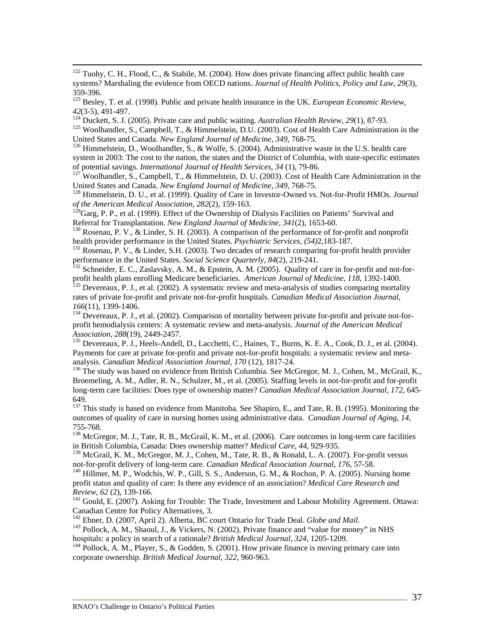<sup>122</sup> Tuohy, C. H., Flood, C., & Stabile, M. (2004). How does private financing affect public health care systems? Marshaling the evidence from OECD nations. *Journal of Health Politics, Policy and Law*, *29*(3), 359-396.

123 Besley, T. et al. (1998). Public and private health insurance in the UK. *European Economic Review*,

42(3-5), 491-497.<br><sup>124</sup> Duckett, S. J. (2005). Private care and public waiting. *Australian Health Review*, 29(1), 87-93.<br><sup>125</sup> Woolhandler, S., Campbell, T., & Himmelstein, D.U. (2003). Cost of Health Care Administration

<sup>126</sup> Himmelstein, D., Woolhandler, S., & Wolfe, S. (2004). Administrative waste in the U.S. health care system in 2003: The cost to the nation, the states and the District of Columbia, with state-specific estimates

of potential savings. *International Journal of Health Services, 34* (1), 79-86.<br><sup>127</sup> Woolhandler, S., Campbell, T., & Himmelstein, D. U. (2003). Cost of Health Care Administration in the<br>United States and Canada. *New En* 

<sup>128</sup> Himmelstein, D. U., et al. (1999). Quality of Care in Investor-Owned vs. Not-for-Profit HMOs. *Journal of the American Medical Association, 282*(2), 159-163.

<sup>129</sup>Garg, P. P., et al. (1999). Effect of the Ownership of Dialysis Facilities on Patients' Survival and Referral for Transplantation. *New England Journal of Medicine*,  $341(2)$ , 1653-60.

<sup>130</sup> Rosenau, P. V., & Linder, S. H. (2003). A comparison of the performance of for-profit and nonprofit health provider performance in the United States. *Psychiatric Services, (54)*2,183-187.<br><sup>131</sup> Rosenau, P. V., & Linder, S.H. (2003). Two decades of research comparing for-profit health provider

performance in the United States. *Social Science Quarterly, 84*(2), 219-241.<br><sup>132</sup> Schneider, E. C., Zaslavsky, A. M., & Epstein, A. M. (2005). Quality of care in for-profit and not-for-

profit health plans enrolling Medicare beneficiaries. *American Journal of Medicine, 118*, 1392-1400.<br><sup>133</sup> Devereaux, P. J., et al. (2002). A systematic review and meta-analysis of studies comparing mortality

rates of private for-profit and private not-for-profit hospitals. *Canadian Medical Association Journal*,

<sup>134</sup> Devereaux, P. J., et al. (2002). Comparison of mortality between private for-profit and private not-forprofit hemodialysis centers: A systematic review and meta-analysis. *Journal of the American Medical* 

<sup>135</sup> Devereaux, P. J., Heels-Andell, D., Lacchetti, C., Haines, T., Burns, K. E. A., Cook, D. J., et al. (2004). Payments for care at private for-profit and private not-for-profit hospitals: a systematic review and meta-<br>analysis. Canadian Medical Association Journal, 170 (12), 1817-24.

<sup>136</sup> The study was based on evidence from British Columbia. See McGregor, M. J., Cohen, M., McGrail, K., Broemeling, A. M., Adler, R. N., Schulzer, M., et al. (2005). Staffing levels in not-for-profit and for-profit long-term care facilities: Does type of ownership matter? *Canadian Medical Association Journal, 172,* 645- 649.

<sup>137</sup> This study is based on evidence from Manitoba. See Shapiro, E., and Tate, R. B. (1995). Monitoring the outcomes of quality of care in nursing homes using administrative data. *Canadian Journal of Aging, 14,*  755-768.

<sup>138</sup> McGregor, M. J., Tate, R. B., McGrail, K. M., et al. (2006). Care outcomes in long-term care facilities in British Columbia, Canada: Does ownership matter? *Medical Care*, *44*, 929-935.

139 McGrail, K. M., McGregor, M. J., Cohen, M., Tate, R. B., & Ronald, L. A. (2007). For-profit versus not-for-profit delivery of long-term care. *Canadian Medical Association Journal*, 176, 57-58.<br><sup>140</sup> Hillmer, M. P., Wodchis, W. P., Gill, S. S., Anderson, G. M., & Rochon, P. A. (2005). Nursing home

profit status and quality of care: Is there any evidence of an association? *Medical Care Research and Review*, 62 (2), 139-166.<br><sup>141</sup> Gould, E. (2007). Asking for Trouble: The Trade, Investment and Labour Mobility Agreement. Ottawa:

Canadian Centre for Policy Alternatives, 3.<br><sup>142</sup> Ebner, D. (2007, April 2). Alberta, BC court Ontario for Trade Deal. Globe and Mail.

<sup>143</sup> Pollock, A. M., Shaoul, J., & Vickers, N. (2002). Private finance and "value for money" in NHS hospitals: a policy in search of a rationale? *British Medical Journal*, 324, 1205-1209.

<sup>144</sup> Pollock, A. M., Player, S., & Godden, S. (2001). How private finance is moving primary care into corporate ownership. *British Medical Journal*, *322,* 960-963.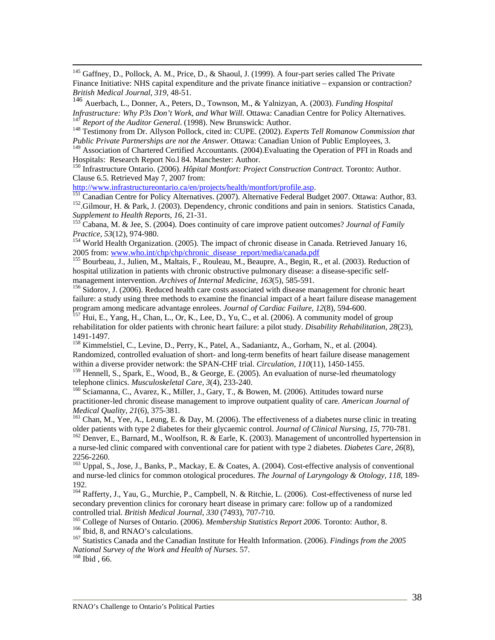<sup>145</sup> Gaffney, D., Pollock, A. M., Price, D., & Shaoul, J. (1999). A four-part series called The Private Finance Initiative: NHS capital expenditure and the private finance initiative – expansion or contraction? *British Medical Journal, 319,* 48-51.

<sup>146</sup> Auerbach, L., Donner, A., Peters, D., Townson, M., & Yalnizyan, A. (2003). *Funding Hospital*  <sup>147</sup> Report of the Auditor General. (1998). New Brunswick: Author.<br><sup>148</sup> Testimony from Dr. Allyson Pollock, cited in: CUPE. (2002). *Experts Tell Romanow Commission that* 

*Public Private Partnerships are not the Answer.* Ottawa: Canadian Union of Public Employees, 3.

<sup>149</sup> Association of Chartered Certified Accountants. (2004). Evaluating the Operation of PFI in Roads and Hospitals: Research Report No.l 84. Manchester: Author.

150 Infrastructure Ontario. (2006). *Hôpital Montfort: Project Construction Contract.* Toronto: Author. Clause 6.5. Retrieved May 7, 2007 from:<br>http://www.infrastructureontario.ca/en/projects/health/montfort/profile.asp.

<sup>151</sup> Canadian Centre for Policy Alternatives. (2007). Alternative Federal Budget 2007. Ottawa: Author, 83.<br><sup>152</sup>.Gilmour, H. & Park, J. (2003). Dependency, chronic conditions and pain in seniors. Statistics Canada,

*Supplement to Health Reports, 16, 21-31.*<br><sup>153</sup> Cabana, M. & Jee, S. (2004). Does continuity of care improve patient outcomes? *Journal of Family Practice, 53*(12), 974-980.<br><sup>154</sup> World Health Organization. (2005). The impact of chronic disease in Canada. Retrieved January 16,

2005 from: www.who.int/chp/chp/chronic\_disease\_report/media/canada.pdf<br>
<sup>155</sup> Bourbeau, J., Julien, M., Maltais, F., Rouleau, M., Beaupre, A., Begin, R., et al. (2003). Reduction of

hospital utilization in patients with chronic obstructive pulmonary disease: a disease-specific self-<br>management intervention. Archives of Internal Medicine, 163(5), 585-591.

<sup>156</sup> Sidorov, J. (2006). Reduced health care costs associated with disease management for chronic heart failure: a study using three methods to examine the financial impact of a heart failure disease management program among medicare advantage enrolees. *Journal of Cardiac Failure, 12*(8), 594-600.<br><sup>157</sup> Hui, E., Yang, H., Chan, L., Or, K., Lee, D., Yu, C., et al. (2006). A community model of group

rehabilitation for older patients with chronic heart failure: a pilot study. *Disability Rehabilitation, 28*(23), 1491-1497.

<sup>158</sup> Kimmelstiel, C., Levine, D., Perry, K., Patel, A., Sadaniantz, A., Gorham, N., et al. (2004). Randomized, controlled evaluation of short- and long-term benefits of heart failure disease management within a diverse provider network: the SPAN-CHF trial. *Circulation, 110*(11), 1450-1455.

<sup>159</sup> Hennell, S., Spark, E., Wood, B., & George, E. (2005). An evaluation of nurse-led rheumatology telephone clinics. *Musculoskeletal Care, 3*(4), 233-240.<br><sup>160</sup> Sciamanna, C., Avarez, K., Miller, J., Gary, T., & Bowen, M. (2006). Attitudes toward nurse

practitioner-led chronic disease management to improve outpatient quality of care. *American Journal of Medical Quality, 21*(6), 375-381.<br><sup>161</sup> Chan, M., Yee, A., Leung, E. & Day, M. (2006). The effectiveness of a diabetes nurse clinic in treating

older patients with type 2 diabetes for their glycaemic control. *Journal of Clinical Nursing, 15, 770-781*.<br><sup>162</sup> Denver, E., Barnard, M., Woolfson, R. & Earle, K. (2003). Management of uncontrolled hypertension in

a nurse-led clinic compared with conventional care for patient with type 2 diabetes. *Diabetes Care, 26*(8), 2256-2260.

<sup>163</sup> Uppal, S., Jose, J., Banks, P., Mackay, E. & Coates, A. (2004). Cost-effective analysis of conventional and nurse-led clinics for common otological procedures. *The Journal of Laryngology & Otology, 118*, 189- 192.

<sup>164</sup> Rafferty, J., Yau, G., Murchie, P., Campbell, N. & Ritchie, L. (2006). Cost-effectiveness of nurse led secondary prevention clinics for coronary heart disease in primary care: follow up of a randomized controlled trial. *British Medical Journal*, 330 (7493), 707-710.

<sup>165</sup> College of Nurses of Ontario. (2006). *Membership Statistics Report 2006*. Toronto: Author, 8.<br><sup>166</sup> Ibid, 8, and RNAO's calculations.<br><sup>167</sup> Statistics Canada and the Canadian Institute for Health Information. (2006

*National Survey of the Work and Health of Nurses*. 57. 168 Ibid , 66.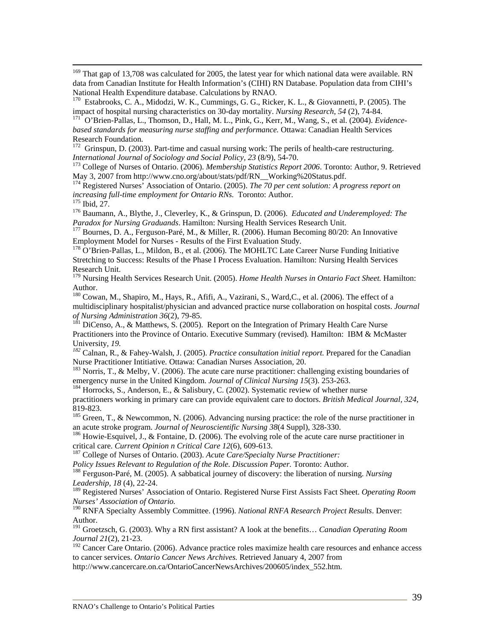<sup>169</sup> That gap of 13,708 was calculated for 2005, the latest year for which national data were available. RN data from Canadian Institute for Health Information's (CIHI) RN Database. Population data from CIHI's National Health Expenditure database. Calculations by RNAO.

<sup>170</sup> Estabrooks, C. A., Midodzi, W. K., Cummings, G. G., Ricker, K. L., & Giovannetti, P. (2005). The impact of hospital nursing characteristics on 30-day mortality. *Nursing Research*, 54 (2), 74-84.

<sup>t</sup> O'Brien-Pallas, L., Thomson, D., Hall, M. L., Pink, G., Kerr, M., Wang, S., et al. (2004). *Evidencebased standards for measuring nurse staffing and performance.* Ottawa: Canadian Health Services Research Foundation.

 $172$  Grinspun, D. (2003). Part-time and casual nursing work: The perils of health-care restructuring.

*International Journal of Sociology and Social Policy, 23* (8/9), 54-70.<br><sup>173</sup> College of Nurses of Ontario. (2006). *Membership Statistics Report 2006*. Toronto: Author, 9. Retrieved<br>May 3, 2007 from http://www.cno.org/ab

<sup>174</sup> Registered Nurses' Association of Ontario. (2005). *The 70 per cent solution: A progress report on increasing full-time employment for Ontario RNs.* Toronto: Author.

<sup>175</sup> Ibid, 27.<br><sup>176</sup> Baumann, A., Blythe, J., Cleverley, K., & Grinspun, D. (2006). *Educated and Underemployed: The Paradox for Nursing Graduands*. Hamilton: Nursing Health Services Research Unit.

<sup>177</sup> Bournes, D. A., Ferguson-Paré, M., & Miller, R. (2006). Human Becoming 80/20: An Innovative Employment Model for Nurses - Results of the First Evaluation Study.

<sup>178</sup> O'Brien-Pallas, L., Mildon, B., et al. (2006). The MOHLTC Late Career Nurse Funding Initiative Stretching to Success: Results of the Phase I Process Evaluation. Hamilton: Nursing Health Services Research Unit.

179 Nursing Health Services Research Unit. (2005). *Home Health Nurses in Ontario Fact Sheet.* Hamilton: Author.

<sup>180</sup> Cowan, M., Shapiro, M., Hays, R., Afifi, A., Vazirani, S., Ward, C., et al. (2006). The effect of a multidisciplinary hospitalist/physician and advanced practice nurse collaboration on hospital costs. *Journal of Nursing Administration 36*(2), 79-85.<br><sup>181</sup> DiCenso, A., & Matthews, S. (2005). Report on the Integration of Primary Health Care Nurse

Practitioners into the Province of Ontario. Executive Summary (revised)*.* Hamilton: IBM & McMaster

University*, 19. <sup>182</sup>* Calnan, R., & Fahey-Walsh, J. (2005). *Practice consultation initial report.* Prepared for the Canadian

<sup>183</sup> Norris, T., & Melby, V. (2006). The acute care nurse practitioner: challenging existing boundaries of emergency nurse in the United Kingdom. *Journal of Clinical Nursing 15*(3). 253-263.<br><sup>184</sup> Horrocks, S., Anderson, E., & Salisbury, C. (2002). Systematic review of whether nurse

practitioners working in primary care can provide equivalent care to doctors. *British Medical Journal, 324*, 819-823.

<sup>185</sup> Green, T., & Newcommon, N. (2006). Advancing nursing practice: the role of the nurse practitioner in an acute stroke program. *Journal of Neuroscientific Nursing*  $38(4 \text{ Suppl})$ ,  $328-330$ .

<sup>186</sup> Howie-Esquivel, J., & Fontaine, D. (2006). The evolving role of the acute care nurse practitioner in critical care. *Current Opinion n Critical Care 12*(6), 609-613.

<sup>187</sup> College of Nurses of Ontario. (2003). *Acute Care/Specialty Nurse Practitioner:* 

*Policy Issues Relevant to Regulation of the Role. Discussion Paper.* Toronto: Author. 188 Ferguson-Paré, M. (2005). A sabbatical journey of discovery: the liberation of nursing. *Nursing Leadership, 18* (4), 22-24.

189 Registered Nurses' Association of Ontario. Registered Nurse First Assists Fact Sheet. *Operating Room Nurses' Association of Ontario.*

190 RNFA Specialty Assembly Committee. (1996). *National RNFA Research Project Results*. Denver: Author.

191 Groetzsch, G. (2003). Why a RN first assistant? A look at the benefits… *Canadian Operating Room Journal 21*(2), 21-23.

 $192$  Cancer Care Ontario. (2006). Advance practice roles maximize health care resources and enhance access to cancer services. *Ontario Cancer News Archives.* Retrieved January 4, 2007 from

http://www.cancercare.on.ca/OntarioCancerNewsArchives/200605/index\_552.htm.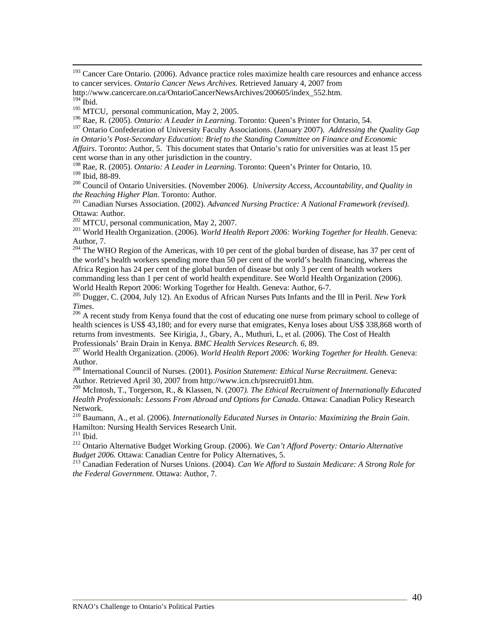<sup>193</sup> Cancer Care Ontario. (2006). Advance practice roles maximize health care resources and enhance access to cancer services. *Ontario Cancer News Archives.* Retrieved January 4, 2007 from

http://www.cancercare.on.ca/OntarioCancerNewsArchives/200605/index\_552.htm.

<sup>195</sup> MTCU, personal communication, May 2, 2005.

196 Rae, R. (2005). *Ontario: A Leader in Learning*. Toronto: Queen's Printer for Ontario, 54.

197 Ontario Confederation of University Faculty Associations. (January 2007). *Addressing the Quality Gap in Ontario's Post-Secondary Education: Brief to the Standing Committee on Finance and Economic Affairs*. Toronto: Author, 5. This document states that Ontario's ratio for universities was at least 15 per

cent worse than in any other jurisdiction in the country.

<sup>198</sup> Rae, R. (2005). *Ontario: A Leader in Learning*. Toronto: Queen's Printer for Ontario, 10.<br><sup>199</sup> Ibid. 88-89.

<sup>200</sup> Council of Ontario Universities. (November 2006). *University Access, Accountability, and Quality in the Reaching Higher Plan.* Toronto: Author.

<sup>201</sup> Canadian Nurses Association. (2002). *Advanced Nursing Practice: A National Framework (revised)*. Ottawa: Author.<br><sup>202</sup> MTCU, personal communication, May 2, 2007.

<sup>203</sup> World Health Organization. (2006). *World Health Report 2006: Working Together for Health.* Geneva: Author, 7.

<sup>204</sup> The WHO Region of the Americas, with 10 per cent of the global burden of disease, has 37 per cent of the world's health workers spending more than 50 per cent of the world's health financing, whereas the Africa Region has 24 per cent of the global burden of disease but only 3 per cent of health workers commanding less than 1 per cent of world health expenditure. See World Health Organization (2006). World Health Report 2006: Working Together for Health. Geneva: Author, 6-7.

205 Dugger, C. (2004, July 12). An Exodus of African Nurses Puts Infants and the Ill in Peril. *New York Times*.<br><sup>206</sup> A recent study from Kenya found that the cost of educating one nurse from primary school to college of

health sciences is US\$ 43,180; and for every nurse that emigrates, Kenya loses about US\$ 338,868 worth of returns from investments. See Kirigia, J., Gbary, A., Muthuri, L, et al. (2006). The Cost of Health<br>Professionals' Brain Drain in Kenya. *BMC Health Services Research*. 6, 89.

<sup>207</sup> World Health Organization. (2006). *World Health Report 2006: Working Together for Health.* Geneva: Author.

208 International Council of Nurses. (2001). *Position Statement: Ethical Nurse Recruitment.* Geneva: Author. Retrieved April 30, 2007 from http://www.icn.ch/psrecruit01.htm.

209 McIntosh, T., Torgerson, R., & Klassen, N. (2007*). The Ethical Recruitment of Internationally Educated Health Professionals: Lessons From Abroad and Options for Canada*. Ottawa: Canadian Policy Research Network.

210 Baumann, A., et al. (2006). *Internationally Educated Nurses in Ontario: Maximizing the Brain Gain.*  Hamilton: Nursing Health Services Research Unit.

<sup>212</sup> Ontario Alternative Budget Working Group. (2006). *We Can't Afford Poverty: Ontario Alternative Budget 2006*. Ottawa: Canadian Centre for Policy Alternatives, 5.

<sup>213</sup> Canadian Federation of Nurses Unions. (2004). *Can We Afford to Sustain Medicare: A Strong Role for the Federal Government.* Ottawa: Author, 7.

 $194$  Ibid.